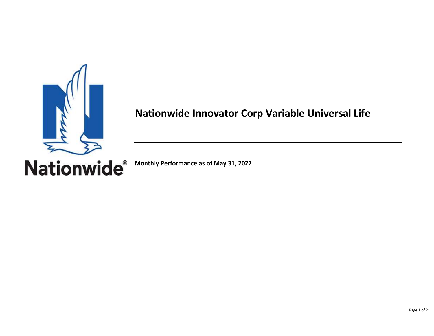

# **Nationwide Innovator Corp Variable Universal Life**

**Nationwide**®

**Monthly Performance as of May 31, 2022**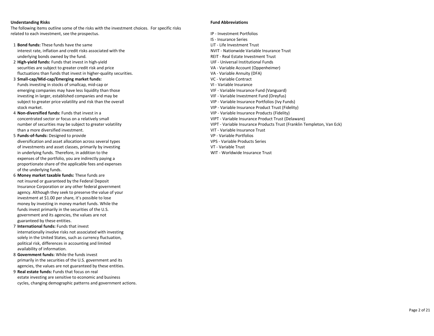#### **Understanding Risks Fund Abbreviations**

The following items outline some of the risks with the investment choices. For specific risks related to each investment, see the prospectus. In the set of the set of the prospectus of the prospectus of the set of the set of the set of the set of the set of the set of the set of the set of the set of the set of the

- IS Insurance Series number of securities may be subject to greater volatility variable Insurance Products Trust (Franklin Templeton, Van Eck)
	-

- 1 **Bond funds:** These funds have the same LIT Life Investment Trust interest rate, inflation and credit risks associated with the NVIT - Nationwide Variable Insurance Trust underlying bonds owned by the fund. The funder of the state investment Trust and REIT - Real Estate Investment Trust
- 2 **High-yield funds:** Funds that invest in high-yield **UIF Universal Institutional Funds** securities are subject to greater credit risk and price VA - VA - Variable Account (Oppenheimer) fluctuations than funds that invest in higher-quality securities. VA - Variable Annuity (DFA)
- 3 **Small-cap/Mid-cap/Emerging market funds:** VC Variable Contract Funds investing in stocks of smallcap, mid-cap or VI - Variable Insurance emerging companies may have less liquidity than those VIF - Variable Insurance Fund (Vanguard) investing in larger, established companies and may be VIF - Variable Investment Fund (Dreyfus) subject to greater price volatility and risk than the overall variable variable Insurance Portfolios (Ivy Funds) stock market. VIP - Variable Insurance Product Trust (Fidelity)
- 4 **Non-diversified funds:** Funds that invest in a VIP Variable Insurance Products (Fidelity) concentrated sector or focus on a relatively small VIPT - Variable Insurance Product Trust (Delaware) than a more diversified investment. The state of the state of the VIT - Variable Insurance Trust
- 5 **Funds-of-funds:** Designed to provide VP Variable Portfolios diversification and asset allocation across several types VPS - Variable Products Series of investments and asset classes, primarily by investing VT - Variable Trust in underlying funds. Therefore, in addition to the WIT - Worldwide Insurance Trust expenses of the portfolio, you are indirectly paying a proportionate share of the applicable fees and expenses of the underlying funds.
- 6 **Money market taxable funds:** These funds are not insured or guaranteed by the Federal Deposit Insurance Corporation or any other federal government agency. Although they seek to preserve the value of your investment at \$1.00 per share, it's possible to lose money by investing in money market funds. While the funds invest primarily in the securities of the U.S. government and its agencies, the values are not guaranteed by these entities.
- 7 **International funds:** Funds that invest internationally involve risks not associated with investing solely in the United States, such as currency fluctuation, political risk, differences in accounting and limited availability of information.
- 8 **Government funds:** While the funds invest primarily in the securities of the U.S. government and its agencies, the values are not guaranteed by these entities.
- 9 **Real estate funds:** Funds that focus on real estate investing are sensitive to economic and business cycles, changing demographic patterns and government actions.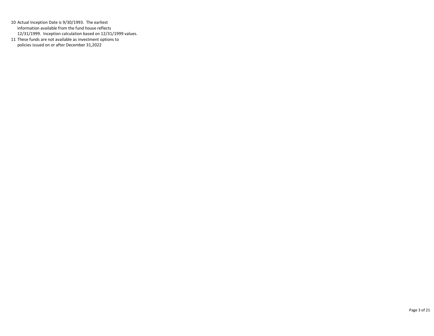10 Actual Inception Date is 9/30/1993. The earliest information available from the fund house reflects 12/31/1999. Inception calculation based on 12/31/1999 values.

11 These funds are not available as investment options to policies issued on or after December 31,2022

Page 3 of 21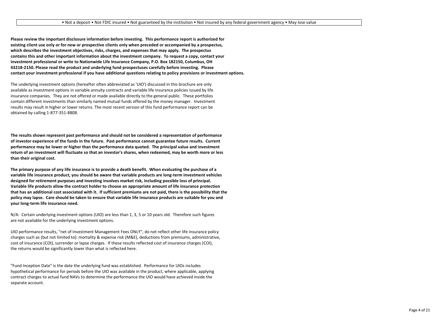**Please review the important disclosure information before investing. This performance report is authorized for existing client use only or for new or prospective clients only when preceded or accompanied by a prospectus, which describes the investment objectives, risks, charges, and expenses that may apply. The prospectus contains this and other important information about the investment company. To request a copy, contact your investment professional or write to Nationwide Life Insurance Company, P.O. Box 182150, Columbus, OH 43218-2150. Please read the product and underlying fund prospectuses carefully before investing. Please contact your investment professional if you have additional questions relating to policy provisions or investment options.**

The underlying investment options (hereafter often abbreviated as 'UIO') discussed in this brochure are only available as investment options in variable annuity contracts and variable life insurance policies issued by life insurance companies. They are not offered or made available directly to the general public. These portfolios contain different investments than similarly named mutual funds offered by the money manager. Investment results may result in higher or lower returns. The most recent version of this fund performance report can be obtained by calling 1-877-351-8808.

**The results shown represent past performance and should not be considered a representation of performance of investor experience of the funds in the future. Past performance cannot guarantee future results. Current performance may be lower or higher than the performance data quoted. The principal value and investment return of an investment will fluctuate so that an investor's shares, when redeemed, may be worth more or less than their original cost.**

**The primary purpose of any life insurance is to provide a death benefit. When evaluating the purchase of a variable life insurance product, you should be aware that variable products are long-term investment vehicles designed for retirement purposes and investing involves market risk, including possible loss of principal. Variable life products allow the contract holder to choose an appropriate amount of life insurance protection that has an additional cost associated with it. If sufficient premiums are not paid, there is the possibility that the policy may lapse. Care should be taken to ensure that variable life insurance products are suitable for you and your long-term life insurance need.** 

N/A: Certain underlying investment options (UIO) are less than 1, 3, 5 or 10 years old. Therefore such figures are not available for the underlying investment options.

UIO performance results, "net of Investment Management Fees ONLY", do not reflect other life insurance policy charges such as (but not limited to): mortality & expense risk (M&E), deductions from premiums, administrative, cost of insurance (COI), surrender or lapse charges. If these results reflected cost of insurance charges (COI), the returns would be significantly lower than what is reflected here.

"Fund Inception Date" is the date the underlying fund was established. Performance for UIOs includes hypothetical performance for periods before the UIO was available in the product, where applicable, applying contract charges to actual fund NAVs to determine the performance the UIO would have achieved inside the separate account.

Page 4 of 21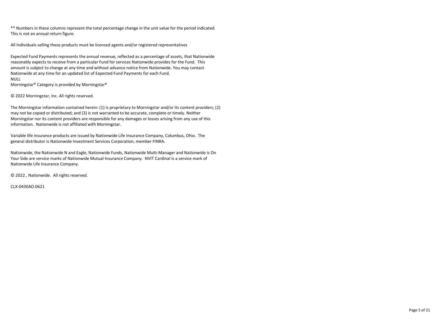\*\* Numbers in these columns represent the total percentage change in the unit value for the period indicated. This is not an annual return figure.

All Individuals selling these products must be licensed agents and/or registered representatives

Expected Fund Payments represents the annual revenue, reflected as a percentage of assets, that Nationwide reasonably expects to receive from a particular Fund for services Nationwide provides for the Fund. This amount is subject to change at any time and without advance notice from Nationwide. You may contact Nationwide at any time for an updated list of Expected Fund Payments for each Fund. NULL

Morningstar® Category is provided by Morningstar®

© 2022 Morningstar, Inc. All rights reserved.

The Morningstar information contained herein: (1) is proprietary to Morningstar and/or its content providers; (2) may not be copied or distributed; and (3) is not warranted to be accurate, complete or timely. Neither Morningstar nor its content providers are responsible for any damages or losses arising from any use of this information. Nationwide is not affiliated with Morningstar.

Variable life insurance products are issued by Nationwide Life Insurance Company, Columbus, Ohio. The general distributor is Nationwide Investment Services Corporation, member FINRA.

Nationwide, the Nationwide N and Eagle, Nationwide Funds, Nationwide Multi-Manager and Nationwide is On Your Side are service marks of Nationwide Mutual Insurance Company. NVIT Cardinal is a service mark of Nationwide Life Insurance Company.

© 2022 , Nationwide. All rights reserved.

CLX-0430AO.0621

Page 5 of 21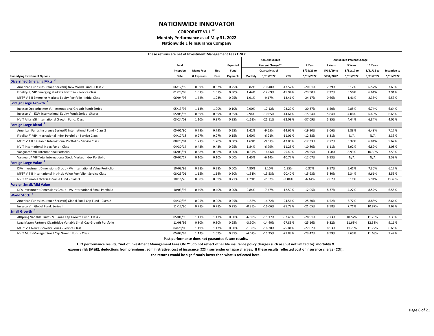#### **CORPORATE VUL sm Monthly Performance as of May 31, 2022 Nationwide Life Insurance Company**

|                                                                                                                                                                               | These returns are net of Investment Management Fees ONLY |                  |            |                 |          |                  |            |            |            |                                  |            |              |
|-------------------------------------------------------------------------------------------------------------------------------------------------------------------------------|----------------------------------------------------------|------------------|------------|-----------------|----------|------------------|------------|------------|------------|----------------------------------|------------|--------------|
|                                                                                                                                                                               |                                                          |                  |            |                 |          | Non-Annualized   |            |            |            | <b>Annualized Percent Change</b> |            |              |
|                                                                                                                                                                               | Fund                                                     |                  |            | Expected        |          | Percent Change** |            | 1 Year     | 3 Years    | 5 Years                          | 10 Years   |              |
|                                                                                                                                                                               | Inception                                                | <b>Mgmt Fees</b> | <b>Net</b> | Fund            |          | Quarterly as of  |            | 5/28/21 to | 5/31/19 to | 5/31/17 to                       | 5/31/12 to | Inception to |
| <b>Underlying Investment Options</b>                                                                                                                                          | Date                                                     | & Expenses       | Fees       | <b>Payments</b> | Monthly  | 3/31/2022        | <b>YTD</b> | 5/31/2022  | 5/31/2022  | 5/31/2022                        | 5/31/2022  | 5/31/2022    |
| <b>Diversified Emerging Mkts</b> <sup>3</sup>                                                                                                                                 |                                                          |                  |            |                 |          |                  |            |            |            |                                  |            |              |
| American Funds Insurance Series(R) New World Fund - Class 2                                                                                                                   | 06/17/99                                                 | 0.89%            | 0.82%      | 0.25%           | 0.82%    | $-10.48%$        | $-17.57%$  | $-20.01%$  | 7.39%      | 6.17%                            | 6.57%      | 7.63%        |
| Fidelity(R) VIP Emerging Markets Portfolio - Service Class                                                                                                                    | 01/23/08                                                 | 1.01%            | 1.01%      | 0.30%           | 1.44%    | $-12.69%$        | $-15.94%$  | $-23.90%$  | 7.22%      | 6.56%                            | 6.61%      | 2.91%        |
| MFS <sup>®</sup> VIT II Emerging Markets Equity Portfolio - Initial Class                                                                                                     | 06/04/96                                                 | 1.62%            | 1.23%      | 0.25%           | 1.91%    | $-9.17%$         | $-13.41%$  | $-24.17%$  | 0.66%      | 1.41%                            | 2.35%      | 5.53%        |
| <b>Foreign Large Growth</b>                                                                                                                                                   |                                                          |                  |            |                 |          |                  |            |            |            |                                  |            |              |
| Invesco Oppenheimer V.I. International Growth Fund: Series I                                                                                                                  | 05/13/92                                                 | 1.13%            | 1.00%      | 0.10%           | 0.90%    | $-17.12%$        | $-23.29%$  | $-20.37%$  | 6.50%      | 2.85%                            | 6.74%      | 6.64%        |
| Invesco V.I. EQV International Equity Fund: Series I Shares <sup>11</sup>                                                                                                     | 05/05/93                                                 | 0.89%            | 0.89%      | 0.35%           | 2.94%    | $-10.65%$        | $-14.61%$  | $-15.54%$  | 5.84%      | 4.06%                            | 6.49%      | 6.68%        |
| NVIT AllianzGI International Growth Fund: Class I                                                                                                                             | 03/24/08                                                 | 1.10%            | 0.97%      | 0.35%           | $-1.63%$ | $-21.11%$        | $-32.09%$  | $-37.09%$  | 5.85%      | 4.44%                            | 6.84%      | 4.02%        |
| Foreign Large Blend <sup>7</sup>                                                                                                                                              |                                                          |                  |            |                 |          |                  |            |            |            |                                  |            |              |
| American Funds Insurance Series(R) International Fund - Class 2                                                                                                               | 05/01/90                                                 | 0.79%            | 0.79%      | 0.25%           | 1.42%    | $-9.65%$         | $-14.65%$  | $-19.90%$  | 3.06%      | 2.88%                            | 6.48%      | 7.17%        |
| Fidelity(R) VIP International Index Portfolio - Service Class                                                                                                                 | 04/17/18                                                 | 0.27%            | 0.27%      | 0.15%           | 1.60%    | $-6.21%$         | $-11.01%$  | $-12.38%$  | 6.31%      | N/A                              | N/A        | 2.33%        |
| MFS <sup>®</sup> VIT II Research International Portfolio - Service Class                                                                                                      | 08/23/01                                                 | 1.21%            | 1.20%      | 0.50%           | 1.69%    | $-9.61%$         | $-13.85%$  | $-12.33%$  | 7.72%      | 5.37%                            | 6.81%      | 5.62%        |
| NVIT International Index Fund - Class I                                                                                                                                       | 04/30/14                                                 | 0.43%            | 0.43%      | 0.25%           | 1.84%    | $-6.79%$         | $-11.25%$  | $-10.80%$  | 6.11%      | 3.92%                            | 6.89%      | 3.08%        |
| Vanguard® VIF International Portfolio                                                                                                                                         | 06/03/94                                                 | 0.38%            | 0.38%      | 0.00%           | $-0.37%$ | $-16.06%$        | $-25.40%$  | $-28.55%$  | 11.44%     | 8.93%                            | 10.30%     | 7.53%        |
| Vanguard® VIF Total International Stock Market Index Portfolio                                                                                                                | 09/07/17                                                 | 0.10%            | 0.10%      | 0.00%           | 1.45%    | $-6.14%$         | $-10.77%$  | $-12.07%$  | 6.93%      | N/A                              | N/A        | 3.59%        |
| Foreign Large Value                                                                                                                                                           |                                                          |                  |            |                 |          |                  |            |            |            |                                  |            |              |
| DFA Investment Dimensions Group - VA International Value Portfolio                                                                                                            | 10/03/95                                                 | 0.28%            | 0.28%      | 0.00%           | 4.80%    | 2.10%            | 1.35%      | 0.37%      | 9.57%      | 5.41%                            | 7.30%      | 6.17%        |
| MFS® VIT II International Intrinsic Value Portfolio - Service Class                                                                                                           | 08/23/01                                                 | 1.15%            | 1.14%      | 0.50%           | $-1.31%$ | $-13.53%$        | $-20.40%$  | $-15.93%$  | 5.80%      | 5.34%                            | 9.61%      | 8.55%        |
| NVIT Columbia Overseas Value Fund - Class X                                                                                                                                   | 10/16/20                                                 | 0.90%            | 0.89%      | 0.21%           | 4.79%    | $-2.52%$         | $-3.04%$   | $-6.44%$   | 7.87%      | 3.11%                            | 5.91%      | 15.48%       |
| <b>Foreign Small/Mid Value</b>                                                                                                                                                |                                                          |                  |            |                 |          |                  |            |            |            |                                  |            |              |
| DFA Investment Dimensions Group - VA International Small Portfolio                                                                                                            | 10/03/95                                                 | 0.40%            | 0.40%      | 0.00%           | 0.84%    | $-7.47%$         | $-12.59%$  | $-12.05%$  | 8.37%      | 4.27%                            | 8.52%      | 6.58%        |
| <b>World Stock<sup>7</sup></b>                                                                                                                                                |                                                          |                  |            |                 |          |                  |            |            |            |                                  |            |              |
| American Funds Insurance Series(R) Global Small Cap Fund - Class 2                                                                                                            | 04/30/98                                                 | 0.95%            | 0.90%      | 0.25%           | $-1.58%$ | $-14.72%$        | $-24.56%$  | $-25.30%$  | 6.52%      | 6.77%                            | 8.88%      | 8.64%        |
| Invesco V.I. Global Fund: Series I                                                                                                                                            | 11/12/90                                                 | 0.78%            | 0.78%      | 0.25%           | $-0.35%$ | $-16.06%$        | $-25.73%$  | $-21.05%$  | 8.58%      | 7.71%                            | 10.87%     | 9.62%        |
| Small Growth <sup>3</sup>                                                                                                                                                     |                                                          |                  |            |                 |          |                  |            |            |            |                                  |            |              |
| Allspring Variable Trust - VT Small Cap Growth Fund: Class 2                                                                                                                  | 05/01/95                                                 | 1.17%            | 1.17%      | 0.50%           | $-6.69%$ | $-15.17%$        | $-32.48%$  | $-28.91%$  | 7.73%      | 10.57%                           | 11.28%     | 7.33%        |
| Legg Mason Partners ClearBridge Variable Small Cap Growth Portfolio                                                                                                           | 11/08/99                                                 | 0.80%            | 0.80%      | 0.25%           | $-3.50%$ | $-14.40%$        | $-27.89%$  | $-25.16%$  | 9.32%      | 11.63%                           | 12.38%     | 9.16%        |
| MFS® VIT New Discovery Series - Service Class                                                                                                                                 | 04/28/00                                                 | 1.19%            | 1.12%      | 0.50%           | $-1.08%$ | $-16.28%$        | $-25.81%$  | $-27.82%$  | 8.93%      | 11.78%                           | 11.72%     | 6.65%        |
| NVIT Multi-Manager Small Cap Growth Fund - Class I                                                                                                                            | 05/03/99                                                 | 1.12%            | 1.09%      | 0.35%           | $-4.02%$ | $-15.25%$        | $-27.83%$  | $-23.47%$  | 8.99%      | 9.65%                            | 11.68%     | 7.42%        |
|                                                                                                                                                                               | Past performance does not guarantee future results.      |                  |            |                 |          |                  |            |            |            |                                  |            |              |
| UIO performance results, "net of Investment Management Fees ONLY", do not reflect other life insurance policy charges such as (but not limited to): mortality &               |                                                          |                  |            |                 |          |                  |            |            |            |                                  |            |              |
| expense risk (M&E), deductions from premiums, administrative, cost of insurance (COI), surrender or lapse charges. If these results reflected cost of insurance charge (COI), |                                                          |                  |            |                 |          |                  |            |            |            |                                  |            |              |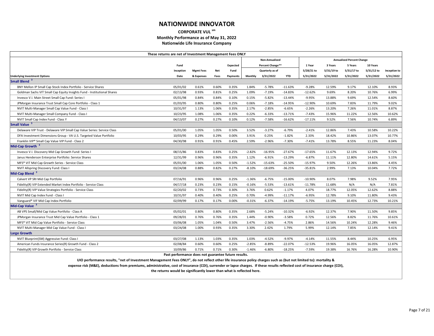#### **CORPORATE VUL sm Monthly Performance as of May 31, 2022 Nationwide Life Insurance Company**

|                                                                                                                                                                | These returns are net of Investment Management Fees ONLY |                  |            |                 |          |                       |            |            |            |                                  |            |              |
|----------------------------------------------------------------------------------------------------------------------------------------------------------------|----------------------------------------------------------|------------------|------------|-----------------|----------|-----------------------|------------|------------|------------|----------------------------------|------------|--------------|
|                                                                                                                                                                |                                                          |                  |            |                 |          | <b>Non-Annualized</b> |            |            |            | <b>Annualized Percent Change</b> |            |              |
|                                                                                                                                                                | Fund                                                     |                  |            | <b>Expected</b> |          | Percent Change**      |            | 1 Year     | 3 Years    | 5 Years                          | 10 Years   |              |
|                                                                                                                                                                | Inception                                                | <b>Mgmt Fees</b> | <b>Net</b> | Fund            |          | Quarterly as of       |            | 5/28/21 to | 5/31/19 to | 5/31/17 to                       | 5/31/12 to | Inception to |
| <b>Underlying Investment Options</b>                                                                                                                           | Date                                                     | & Expenses       | Fees       | Payments        | Monthly  | 3/31/2022             | <b>YTD</b> | 5/31/2022  | 5/31/2022  | 5/31/2022                        | 5/31/2022  | 5/31/2022    |
| Small Blend <sup>3</sup>                                                                                                                                       |                                                          |                  |            |                 |          |                       |            |            |            |                                  |            |              |
| BNY Mellon IP Small Cap Stock Index Portfolio - Service Shares                                                                                                 | 05/01/02                                                 | 0.61%            | 0.60%      | 0.35%           | 1.84%    | $-5.78%$              | $-11.63%$  | $-9.28%$   | 12.59%     | 9.17%                            | 12.10%     | 8.93%        |
| Goldman Sachs VIT Small Cap Equity Insights Fund - Institutional Shares                                                                                        | 02/13/98                                                 | 0.93%            | 0.81%      | 0.25%           | 1.09%    | -7.19%                | $-14.83%$  | $-12.62%$  | 9.69%      | 8.20%                            | 10.76%     | 6.99%        |
| Invesco V.I. Main Street Small Cap Fund: Series I                                                                                                              | 05/01/98                                                 | 0.84%            | 0.84%      | 0.10%           | 0.15%    | $-5.82%$              | $-13.44%$  | $-9.95%$   | 13.88%     | 9.69%                            | 12.54%     | 8.60%        |
| JPMorgan Insurance Trust Small Cap Core Portfolio - Class 1                                                                                                    | 01/03/95                                                 | 0.80%            | 0.80%      | 0.25%           | 0.06%    | $-7.18%$              | $-14.95%$  | $-12.90%$  | 10.69%     | 7.83%                            | 11.79%     | 9.02%        |
| NVIT Multi-Manager Small Cap Value Fund - Class I                                                                                                              | 10/31/97                                                 | 1.13%            | 1.06%      | 0.35%           | 2.17%    | $-2.85%$              | $-6.65%$   | $-2.26%$   | 13.20%     | 7.26%                            | 11.01%     | 8.87%        |
| NVIT Multi-Manager Small Company Fund - Class I                                                                                                                | 10/23/95                                                 | 1.08%            | 1.06%      | 0.35%           | 0.22%    | $-6.33%$              | $-13.71%$  | $-7.43%$   | 15.96%     | 11.22%                           | 12.56%     | 10.62%       |
| NVIT Small Cap Index Fund - Class Y                                                                                                                            | 04/13/07                                                 | 0.27%            | 0.27%      | 0.10%           | 0.12%    | $-7.58%$              | $-16.62%$  | $-17.11%$  | 9.52%      | 7.56%                            | 10.74%     | 6.89%        |
| Small Value <sup>3</sup>                                                                                                                                       |                                                          |                  |            |                 |          |                       |            |            |            |                                  |            |              |
| Delaware VIP Trust - Delaware VIP Small Cap Value Series: Service Class                                                                                        | 05/01/00                                                 | 1.05%            | 1.05%      | 0.50%           | 3.52%    | $-3.27%$              | $-6.79%$   | $-2.41%$   | 12.86%     | 7.43%                            | 10.58%     | 10.22%       |
| DFA Investment Dimensions Group - VA U.S. Targeted Value Portfolio                                                                                             | 10/03/95                                                 | 0.29%            | 0.29%      | 0.00%           | 3.91%    | 0.25%                 | $-1.82%$   | 2.33%      | 18.42%     | 10.86%                           | 13.07%     | 10.77%       |
| Franklin VIP <sup>®</sup> Small Cap Value VIP Fund - Class 2                                                                                                   | 04/30/98                                                 | 0.91%            | 0.91%      | 0.45%           | 2.59%    | $-2.96%$              | $-7.30%$   | $-7.41%$   | 13.78%     | 8.55%                            | 11.23%     | 8.04%        |
| Mid-Cap Growth <sup>3</sup>                                                                                                                                    |                                                          |                  |            |                 |          |                       |            |            |            |                                  |            |              |
| Invesco V.I. Discovery Mid Cap Growth Fund: Series I                                                                                                           | 08/15/86                                                 | 0.83%            | 0.83%      | 0.25%           | $-2.82%$ | $-16.95%$             | $-27.67%$  | $-17.65%$  | 11.67%     | 12.13%                           | 12.94%     | 9.72%        |
| Janus Henderson Enterprise Portfolio: Service Shares                                                                                                           | 12/31/99                                                 | 0.96%            | 0.96%      | 0.35%           | 1.12%    | $-6.91%$              | $-13.29%$  | $-6.87%$   | 11.11%     | 12.80%                           | 14.61%     | 5.15%        |
| MFS <sup>®</sup> VIT Mid Cap Growth Series - Service Class                                                                                                     | 05/01/00                                                 | 1.06%            | 1.05%      | 0.50%           | $-1.52%$ | $-15.63%$             | $-25.50%$  | $-15.97%$  | 9.50%      | 12.26%                           | 13.86%     | 4.45%        |
| <b>NVIT Allspring Discovery Fund: Class I</b>                                                                                                                  | 03/24/08                                                 | 0.88%            | 0.82%      | 0.27%           | $-8.10%$ | $-18.69%$             | $-36.25%$  | $-35.81%$  | 2.99%      | 7.13%                            | 10.04%     | 7.72%        |
| Mid-Cap Blend <sup>3</sup>                                                                                                                                     |                                                          |                  |            |                 |          |                       |            |            |            |                                  |            |              |
| Calvert VP SRI Mid Cap Portfolio                                                                                                                               | 07/16/91                                                 | 0.96%            | 0.96%      | 0.25%           | $-1.36%$ | $-6.75%$              | $-15.00%$  | $-10.90%$  | 8.07%      | 7.98%                            | 9.52%      | 7.95%        |
| Fidelity(R) VIP Extended Market Index Portfolio - Service Class                                                                                                | 04/17/18                                                 | 0.23%            | 0.23%      | 0.15%           | $-0.16%$ | $-5.53%$              | $-13.61%$  | $-11.78%$  | 11.68%     | N/A                              | N/A        | 7.81%        |
| Fidelity(R) VIP Value Strategies Portfolio - Service Class                                                                                                     | 02/20/02                                                 | 0.73%            | 0.73%      | 0.30%           | 3.76%    | 0.62%                 | $-1.17%$   | 4.07%      | 18.77%     | 12.05%                           | 12.62%     | 8.88%        |
| NVIT Mid Cap Index Fund - Class I                                                                                                                              | 10/31/97                                                 | 0.40%            | 0.40%      | 0.25%           | 0.70%    | $-4.99%$              | $-11.17%$  | $-6.95%$   | 12.78%     | 9.10%                            | 11.80%     | 9.43%        |
| Vanguard® VIF Mid Cap Index Portfolio                                                                                                                          | 02/09/99                                                 | 0.17%            | 0.17%      | 0.00%           | $-0.31%$ | $-6.37%$              | $-14.19%$  | $-5.75%$   | 13.19%     | 10.45%                           | 12.73%     | 10.21%       |
| Mid-Cap Value <sup>3</sup>                                                                                                                                     |                                                          |                  |            |                 |          |                       |            |            |            |                                  |            |              |
| AB VPS Small/Mid Cap Value Portfolio - Class A                                                                                                                 | 05/02/01                                                 | 0.80%            | 0.80%      | 0.35%           | 2.68%    | $-5.24%$              | $-10.32%$  | $-6.92%$   | 12.37%     | 7.90%                            | 11.50%     | 9.85%        |
| JPMorgan Insurance Trust Mid Cap Value Portfolio - Class 1                                                                                                     | 09/28/01                                                 | 0.76%            | 0.76%      | 0.35%           | 1.44%    | $-0.90%$              | $-3.58%$   | 0.72%      | 12.56%     | 8.82%                            | 11.76%     | 10.61%       |
| MFS® VIT Mid Cap Value Portfolio - Service Class                                                                                                               | 03/06/08                                                 | 1.05%            | 1.04%      | 0.50%           | 3.47%    | $-2.56%$              | $-4.75%$   | 2.86%      | 14.56%     | 10.24%                           | 12.28%     | 9.46%        |
| NVIT Multi-Manager Mid Cap Value Fund - Class I                                                                                                                | 03/24/08                                                 | 1.00%            | 0.93%      | 0.35%           | 3.30%    | 2.42%                 | 1.79%      | 5.99%      | 12.14%     | 7.85%                            | 12.14%     | 9.41%        |
| <b>Large Growth</b>                                                                                                                                            |                                                          |                  |            |                 |          |                       |            |            |            |                                  |            |              |
| NVIT Blueprint(SM) Aggressive Fund: Class I                                                                                                                    | 03/27/08                                                 | 1.13%            | 1.03%      | 0.35%           | 1.03%    | $-4.52%$              | -9.97%     | $-4.14%$   | 11.55%     | 8.44%                            | 10.25%     | 6.95%        |
| American Funds Insurance Series(R) Growth Fund - Class 2                                                                                                       | 02/08/84                                                 | 0.60%            | 0.60%      | 0.25%           | $-2.85%$ | $-8.89%$              | $-22.07%$  | -12.53%    | 19.96%     | 16.05%                           | 16.05%     | 12.87%       |
| Fidelity(R) VIP Growth Portfolio - Service Class                                                                                                               | 10/09/86                                                 | 0.71%            | 0.71%      | 0.30%           | $-1.46%$ | $-6.80%$              | $-18.25%$  | $-7.59%$   | 19.38%     | 16.76%                           | 16.28%     | 10.90%       |
| IIIO performance results "net of Investment Management Fees ONIV" do not reflect other life insurance nolicy charges such as (but not limited to); mortality & | Past performance does not guarantee future results.      |                  |            |                 |          |                       |            |            |            |                                  |            |              |

**UIO performance results, "net of Investment Management Fees ONLY", do not reflect other life insurance policy charges such as (but not limited to): mortality &**

**expense risk (M&E), deductions from premiums, administrative, cost of insurance (COI), surrender or lapse charges. If these results reflected cost of insurance charge (COI),**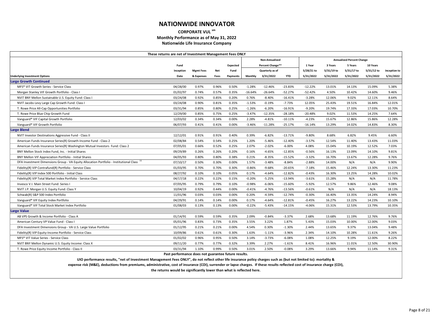#### **CORPORATE VUL sm Monthly Performance as of May 31, 2022 Nationwide Life Insurance Company**

|                                                                                        | These returns are net of Investment Management Fees ONLY |                  |            |          |           |                  |            |            |            |                                  |            |              |
|----------------------------------------------------------------------------------------|----------------------------------------------------------|------------------|------------|----------|-----------|------------------|------------|------------|------------|----------------------------------|------------|--------------|
|                                                                                        |                                                          |                  |            |          |           | Non-Annualized   |            |            |            | <b>Annualized Percent Change</b> |            |              |
|                                                                                        | Fund                                                     |                  |            | Expected |           | Percent Change** |            | 1 Year     | 3 Years    | 5 Years                          | 10 Years   |              |
|                                                                                        | Inception                                                | <b>Mgmt Fees</b> | <b>Net</b> | Fund     |           | Quarterly as of  |            | 5/28/21 to | 5/31/19 to | 5/31/17 to                       | 5/31/12 to | Inception to |
| <b>Underlying Investment Options</b>                                                   | Date                                                     | & Expenses       | Fees       | Payments | Monthly   | 3/31/2022        | <b>YTD</b> | 5/31/2022  | 5/31/2022  | 5/31/2022                        | 5/31/2022  | 5/31/2022    |
| <b>Large Growth Continued</b>                                                          |                                                          |                  |            |          |           |                  |            |            |            |                                  |            |              |
| MFS® VIT Growth Series - Service Class                                                 | 04/28/00                                                 | 0.97%            | 0.96%      | 0.50%    | $-1.28%$  | $-12.46%$        | $-23.83%$  | $-12.22%$  | 13.01%     | 14.13%                           | 15.09%     | 5.38%        |
| Morgan Stanley VIF Growth Portfolio - Class I                                          | 01/02/97                                                 | 0.74%            | 0.57%      | 0.35%    | $-16.64%$ | $-26.64%$        | $-52.27%$  | $-52.42%$  | 4.50%      | 10.42%                           | 14.60%     | 9.46%        |
| NVIT BNY Mellon Sustainable U.S. Equity Fund: Class I                                  | 03/24/08                                                 | 0.92%            | 0.85%      | 0.20%    | 0.76%     | $-8.40%$         | $-16.41%$  | $-3.28%$   | 12.06%     | 9.02%                            | 12.11%     | 8.64%        |
| NVIT Jacobs Levy Large Cap Growth Fund: Class I                                        | 03/24/08                                                 | 0.90%            | 0.81%      | 0.35%    | $-1.53%$  | $-0.19%$         | $-7.73%$   | 12.05%     | 25.43%     | 19.51%                           | 16.84%     | 12.01%       |
| T. Rowe Price All-Cap Opportunities Portfolio                                          | 03/31/94                                                 | 0.85%            | 0.80%      | 0.25%    | $-1.26%$  | $-6.20%$         | $-16.91%$  | $-9.20%$   | 19.74%     | 17.33%                           | 17.03%     | 10.70%       |
| T. Rowe Price Blue Chip Growth Fund                                                    | 12/29/00                                                 | 0.85%            | 0.75%      | 0.25%    | $-3.47%$  | $-12.35%$        | $-28.18%$  | $-20.48%$  | 9.02%      | 11.53%                           | 14.25%     | 7.64%        |
| Vanguard® VIF Capital Growth Portfolio                                                 | 12/03/02                                                 | 0.34%            | 0.34%      | 0.00%    | 2.28%     | $-4.81%$         | $-10.11%$  | $-4.23%$   | 15.67%     | 12.86%                           | 15.86%     | 12.28%       |
| Vanguard® VIF Growth Portfolio                                                         | 06/07/93                                                 | 0.41%            | 0.41%      | 0.00%    | $-3.46%$  | $-11.28%$        | $-25.17%$  | $-16.14%$  | 13.29%     | 14.02%                           | 14.83%     | 8.30%        |
| <b>Large Blend</b>                                                                     |                                                          |                  |            |          |           |                  |            |            |            |                                  |            |              |
| NVIT Investor Destinations Aggressive Fund - Class II                                  | 12/12/01                                                 | 0.91%            | 0.91%      | 0.40%    | 0.39%     | $-6.82%$         | $-13.71%$  | $-9.80%$   | 8.68%      | 6.82%                            | 9.45%      | 6.60%        |
| American Funds Insurance Series(R) Growth-Income Fund - Class 2                        | 02/08/84                                                 | 0.54%            | 0.54%      | 0.25%    | 1.20%     | $-5.46%$         | $-12.40%$  | $-3.57%$   | 12.54%     | 11.40%                           | 13.43%     | 11.03%       |
| American Funds Insurance Series(R) Washington Mutual Investors Fund: Class 2           | 07/05/01                                                 | 0.66%            | 0.52%      | 0.25%    | 2.07%     | $-2.02%$         | $-6.00%$   | 4.08%      | 15.04%     | 10.19%                           | 12.52%     | 7.03%        |
| BNY Mellon Stock Index Fund, Inc. - Initial Shares                                     | 09/29/89                                                 | 0.26%            | 0.26%      | 0.20%    | 0.16%     | $-4.65%$         | $-12.85%$  | $-0.56%$   | 16.13%     | 13.09%                           | 14.10%     | 9.81%        |
| BNY Mellon VIF Appreciation Portfolio - Initial Shares                                 | 04/05/93                                                 | 0.80%            | 0.80%      | 0.38%    | 0.21%     | $-8.35%$         | $-15.52%$  | $-3.32%$   | 16.70%     | 13.67%                           | 12.28%     | 9.76%        |
| DFA Investment Dimensions Group - VA Equity Allocation Portfolio - Institutional Class | 07/10/17                                                 | 0.50%            | 0.30%      | 0.00%    | 1.57%     | $-3.48%$         | $-8.84%$   | $-2.88%$   | 14.00%     | N/A                              | N/A        | 9.90%        |
| Fidelity(R) VIP Contrafund(R) Portfolio - Service Class                                | 01/03/95                                                 | 0.70%            | 0.70%      | 0.30%    | $-0.86%$  | $-9.68%$         | $-20.65%$  | $-7.18%$   | 15.46%     | 12.24%                           | 13.30%     | 11.23%       |
| Fidelity(R) VIP Index 500 Portfolio - Initial Class                                    | 08/27/92                                                 | 0.10%            | 0.10%      | 0.05%    | 0.17%     | $-4.64%$         | $-12.82%$  | $-0.43%$   | 16.30%     | 13.25%                           | 14.28%     | 10.02%       |
| Fidelity(R) VIP Total Market Index Portfolio - Service Class                           | 04/17/18                                                 | 0.22%            | 0.22%      | 0.15%    | $-0.20%$  | $-5.25%$         | $-13.94%$  | $-3.61%$   | 15.28%     | N/A                              | N/A        | 11.78%       |
| Invesco V.I. Main Street Fund: Series I                                                | 07/05/95                                                 | 0.79%            | 0.79%      | 0.10%    | $-0.98%$  | $-6.06%$         | $-15.60%$  | $-5.92%$   | 12.57%     | 9.86%                            | 12.46%     | 9.08%        |
| NVIT J.P. Morgan U.S. Equity Fund: Class Y                                             | 10/04/19                                                 | 0.92%            | 0.44%      | 0.00%    | $-0.41%$  | $-4.76%$         | $-13.56%$  | $-0.61%$   | N/A        | N/A                              | N/A        | 18.13%       |
| Schwab(R) S&P 500 Index Portfolio                                                      | 11/01/96                                                 | 0.03%            | 0.03%      | 0.00%    | 0.20%     | $-4.59%$         | $-12.74%$  | $-0.30%$   | 16.40%     | 13.35%                           | 14.24%     | 8.94%        |
| Vanguard® VIF Equity Index Portfolio                                                   | 04/29/91                                                 | 0.14%            | 0.14%      | 0.00%    | 0.17%     | $-4.64%$         | $-12.81%$  | $-0.45%$   | 16.27%     | 13.22%                           | 14.23%     | 10.10%       |
| Vanguard® VIF Total Stock Market Index Portfolio                                       | 01/08/03                                                 | 0.13%            | 0.13%      | 0.00%    | $-0.22%$  | $-5.43%$         | $-14.15%$  | $-4.06%$   | 15.31%     | 12.53%                           | 13.79%     | 10.35%       |
| <b>Large Value</b>                                                                     |                                                          |                  |            |          |           |                  |            |            |            |                                  |            |              |
| AB VPS Growth & Income Portfolio - Class A                                             | 01/14/91                                                 | 0.59%            | 0.59%      | 0.35%    | 2.09%     | $-0.84%$         | $-3.37%$   | 2.68%      | 13.68%     | 11.19%                           | 12.76%     | 9.76%        |
| American Century VP Value Fund - Class I                                               | 05/01/96                                                 | 0.83%            | 0.73%      | 0.35%    | 3.55%     | 3.22%            | 1.87%      | 5.43%      | 15.03%     | 10.00%                           | 12.00%     | 9.03%        |
| DFA Investment Dimensions Group - VA U.S. Large Value Portfolio                        | 01/12/95                                                 | 0.21%            | 0.21%      | 0.00%    | 4.54%     | 0.30%            | $-1.30%$   | 2.44%      | 13.65%     | 9.37%                            | 13.04%     | 9.48%        |
| Fidelity(R) VIP Equity-Income Portfolio - Service Class                                | 10/09/86                                                 | 0.61%            | 0.61%      | 0.30%    | 1.63%     | $-1.11\%$        | $-3.96%$   | 2.34%      | 14.10%     | 10.28%                           | 11.61%     | 9.26%        |
| MFS <sup>®</sup> VIT Value Series - Service Class                                      | 01/02/02                                                 | 0.96%            | 0.95%      | 0.50%    | 3.14%     | $-3.73%$         | $-6.08%$   | 1.08%      | 12.25%     | 9.19%                            | 12.00%     | 8.22%        |
| NVIT BNY Mellon Dynamic U.S. Equity Income: Class X                                    | 09/11/20                                                 | 0.77%            | 0.77%      | 0.32%    | 3.39%     | 2.27%            | $-1.61%$   | 8.41%      | 16.96%     | 11.01%                           | 12.50%     | 30.90%       |
| T. Rowe Price Equity Income Portfolio - Class II                                       | 03/31/94                                                 | 1.10%            | 0.99%      | 0.50%    | 3.01%     | 2.50%            | $-0.08%$   | 3.29%      | 13.66%     | 9.94%                            | 11.14%     | 9.31%        |
|                                                                                        | Past performance does not guarantee future results.      |                  |            |          |           |                  |            |            |            |                                  |            |              |

**Past performance does not guarantee future results.**

**UIO performance results, "net of Investment Management Fees ONLY", do not reflect other life insurance policy charges such as (but not limited to): mortality &**

**expense risk (M&E), deductions from premiums, administrative, cost of insurance (COI), surrender or lapse charges. If these results reflected cost of insurance charge (COI),**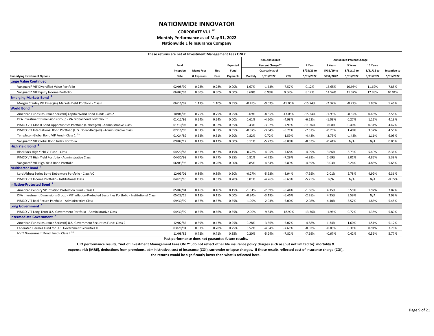#### **CORPORATE VUL sm Monthly Performance as of May 31, 2022 Nationwide Life Insurance Company**

|                                                                                                                                                                               | These returns are net of Investment Management Fees ONLY              |                  |            |          |          |                       |            |            |            |                                  |            |              |
|-------------------------------------------------------------------------------------------------------------------------------------------------------------------------------|-----------------------------------------------------------------------|------------------|------------|----------|----------|-----------------------|------------|------------|------------|----------------------------------|------------|--------------|
|                                                                                                                                                                               |                                                                       |                  |            |          |          | <b>Non-Annualized</b> |            |            |            | <b>Annualized Percent Change</b> |            |              |
|                                                                                                                                                                               | Fund                                                                  |                  |            | Expected |          | Percent Change**      |            | 1 Year     | 3 Years    | 5 Years                          | 10 Years   |              |
|                                                                                                                                                                               | Inception                                                             | <b>Mgmt Fees</b> | <b>Net</b> | Fund     |          | Quarterly as of       |            | 5/28/21 to | 5/31/19 to | 5/31/17 to                       | 5/31/12 to | Inception to |
| <b>Underlying Investment Options</b>                                                                                                                                          | Date                                                                  | & Expenses       | Fees       | Payments | Monthly  | 3/31/2022             | <b>YTD</b> | 5/31/2022  | 5/31/2022  | 5/31/2022                        | 5/31/2022  | 5/31/2022    |
| <b>Large Value Continued</b>                                                                                                                                                  |                                                                       |                  |            |          |          |                       |            |            |            |                                  |            |              |
| Vanguard® VIF Diversified Value Portfolio                                                                                                                                     | 02/08/99                                                              | 0.28%            | 0.28%      | 0.00%    | 1.67%    | $-1.63%$              | $-7.57%$   | 0.12%      | 16.65%     | 10.95%                           | 11.69%     | 7.85%        |
| Vanguard® VIF Equity Income Portfolio                                                                                                                                         | 06/07/93                                                              | 0.30%            | 0.30%      | 0.00%    | 3.60%    | 0.99%                 | 0.66%      | 8.12%      | 14.54%     | 11.32%                           | 12.88%     | 10.01%       |
| <b>Emerging Markets Bond</b> <sup>3</sup>                                                                                                                                     |                                                                       |                  |            |          |          |                       |            |            |            |                                  |            |              |
| Morgan Stanley VIF Emerging Markets Debt Portfolio - Class I                                                                                                                  | 06/16/97                                                              | 1.17%            | 1.10%      | 0.35%    | $-0.49%$ | $-9.03%$              | $-15.00%$  | $-15.74%$  | $-2.32%$   | $-0.77%$                         | 1.85%      | 5.46%        |
| <b>World Bond</b>                                                                                                                                                             |                                                                       |                  |            |          |          |                       |            |            |            |                                  |            |              |
| American Funds Insurance Series(R) Capital World Bond Fund: Class 2                                                                                                           | 10/04/06                                                              | 0.75%            | 0.75%      | 0.25%    | 0.69%    | $-8.55%$              | $-13.08%$  | $-15.24%$  | $-1.93%$   | $-0.35%$                         | 0.46%      | 2.58%        |
| DFA Investment Dimensions Group - VA Global Bond Portfolio <sup>11</sup>                                                                                                      | 01/12/95                                                              | 0.24%            | 0.24%      | 0.00%    | 0.61%    | $-4.50%$              | $-4.98%$   | $-6.23%$   | $-1.03%$   | 0.27%                            | 1.12%      | 4.13%        |
| PIMCO VIT Global Bond Opportunities Portfolio (Unhedged) - Administrative Class                                                                                               | 01/10/02                                                              | 0.92%            | 0.92%      | 0.35%    | 0.43%    | $-3.92%$              | $-7.91%$   | $-11.36%$  | 0.08%      | 0.40%                            | 0.31%      | 4.47%        |
| PIMCO VIT International Bond Portfolio (U.S. Dollar-Hedged) - Administrative Class                                                                                            | 02/16/99                                                              | 0.91%            | 0.91%      | 0.35%    | $-0.97%$ | $-3.84%$              | $-6.71%$   | $-7.32%$   | $-0.25%$   | 1.40%                            | 3.32%      | 4.55%        |
| Templeton Global Bond VIP Fund - Class 1 <sup>11</sup>                                                                                                                        | 01/24/89                                                              | 0.52%            | 0.51%      | 0.20%    | 0.82%    | 0.72%                 | $-1.59%$   | $-4.43%$   | $-3.73%$   | $-1.48%$                         | 1.11%      | 6.05%        |
| Vanguard® VIF Global Bond Index Portfolio                                                                                                                                     | 09/07/17                                                              | 0.13%            | 0.13%      | 0.00%    | 0.11%    | $-5.72%$              | $-8.89%$   | $-8.33%$   | $-0.41%$   | N/A                              | N/A        | 0.85%        |
| High Yield Bond <sup>2</sup>                                                                                                                                                  |                                                                       |                  |            |          |          |                       |            |            |            |                                  |            |              |
| BlackRock High Yield VI Fund - Class I                                                                                                                                        | 04/20/82                                                              | 0.67%            | 0.57%      | 0.15%    | $-0.28%$ | $-4.05%$              | $-7.68%$   | $-4.99%$   | 3.86%      | 3.73%                            | 5.40%      | 8.36%        |
| PIMCO VIT High Yield Portfolio - Administrative Class                                                                                                                         | 04/30/98                                                              | 0.77%            | 0.77%      | 0.35%    | 0.81%    | $-4.72%$              | $-7.29%$   | $-4.93%$   | 2.69%      | 3.01%                            | 4.85%      | 5.39%        |
| Vanguard® VIF High Yield Bond Portfolio                                                                                                                                       | 06/03/96                                                              | 0.26%            | 0.26%      | 0.00%    | 0.85%    | $-4.54%$              | $-6.89%$   | $-4.39%$   | 3.03%      | 3.26%                            | 4.85%      | 5.68%        |
| Multisector Bond <sup>1</sup>                                                                                                                                                 |                                                                       |                  |            |          |          |                       |            |            |            |                                  |            |              |
| Lord Abbett Series Bond Debenture Portfolio - Class VC                                                                                                                        | 12/03/01                                                              | 0.89%            | 0.89%      | 0.50%    | $-0.27%$ | $-5.93%$              | $-8.94%$   | $-7.95%$   | 2.01%      | 2.78%                            | 4.92%      | 6.36%        |
| PIMCO VIT Income Portfolio - Institutional Class                                                                                                                              | 04/29/16                                                              | 0.67%            | 0.67%      | 0.20%    | 0.01%    | $-4.26%$              | $-6.65%$   | $-5.75%$   | N/A        | N/A                              | N/A        | $-0.85%$     |
| Inflation-Protected Bond <sup>1</sup>                                                                                                                                         |                                                                       |                  |            |          |          |                       |            |            |            |                                  |            |              |
| American Century VP Inflation Protection Fund - Class I                                                                                                                       | 05/07/04                                                              | 0.46%            | 0.46%      | 0.15%    | $-1.31%$ | $-2.89%$              | -6.44%     | $-1.68%$   | 4.15%      | 3.55%                            | 1.92%      | 3.87%        |
| DFA Investment Dimensions Group - VIT Inflation-Protected Securities Portfolio - Institutional Class                                                                          | 05/29/15                                                              | 0.11%            | 0.11%      | 0.00%    | $-0.94%$ | $-3.19%$              | -6.46%     | $-2.28%$   | 4.25%      | 3.59%                            | N/A        | 2.98%        |
| PIMCO VIT Real Return Portfolio - Administrative Class                                                                                                                        | 09/30/99                                                              | 0.67%            | 0.67%      | 0.35%    | $-1.09%$ | $-2.93%$              | $-6.00%$   | $-2.08%$   | 4.40%      | 3.57%                            | 1.85%      | 5.48%        |
| Long Government <sup>8</sup>                                                                                                                                                  |                                                                       |                  |            |          |          |                       |            |            |            |                                  |            |              |
| PIMCO VIT Long-Term U.S. Government Portfolio - Administrative Class                                                                                                          | 04/30/99                                                              | 0.66%            | 0.66%      | 0.35%    | $-2.00%$ | $-9.54%$              | $-18.90%$  | $-13.36%$  | $-1.96%$   | 0.72%                            | 1.38%      | 5.80%        |
| <b>Intermediate Government</b>                                                                                                                                                |                                                                       |                  |            |          |          |                       |            |            |            |                                  |            |              |
| American Funds Insurance Series(R) U.S. Government Securities Fund: Class 2                                                                                                   | 12/02/85                                                              | 0.59%            | 0.47%      | 0.25%    | 0.28%    | $-3.56%$              | $-6.07%$   | $-4.88%$   | 1.34%      | 1.60%                            | 1.51%      | 5.12%        |
| Federated Hermes Fund for U.S. Government Securities II                                                                                                                       | 03/28/94                                                              | 0.87%            | 0.78%      | 0.25%    | 0.52%    | $-4.94%$              | -7.61%     | $-8.03%$   | $-0.88%$   | 0.31%                            | 0.91%      | 3.78%        |
| NVIT Government Bond Fund - Class I <sup>11</sup>                                                                                                                             | 11/08/82                                                              | 0.72%            | 0.71%      | 0.35%    | 0.20%    | $-5.24%$              | $-7.82%$   | $-7.69%$   | $-0.67%$   | 0.42%                            | 0.56%      | 5.77%        |
|                                                                                                                                                                               | Past performance does not guarantee future results.                   |                  |            |          |          |                       |            |            |            |                                  |            |              |
| UIO performance results, "net of Investment Management Fees ONLY", do not reflect other life insurance policy charges such as (but not limited to): mortality &               |                                                                       |                  |            |          |          |                       |            |            |            |                                  |            |              |
| expense risk (M&E), deductions from premiums, administrative, cost of insurance (COI), surrender or lapse charges. If these results reflected cost of insurance charge (COI), |                                                                       |                  |            |          |          |                       |            |            |            |                                  |            |              |
|                                                                                                                                                                               | the returns would be significantly lower than what is reflected here. |                  |            |          |          |                       |            |            |            |                                  |            |              |
|                                                                                                                                                                               |                                                                       |                  |            |          |          |                       |            |            |            |                                  |            |              |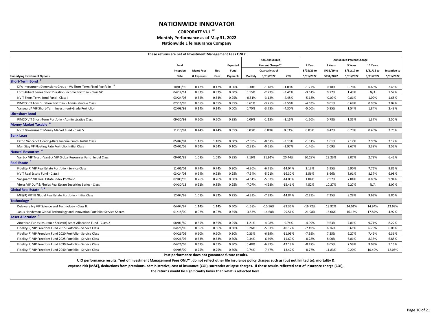#### **CORPORATE VUL sm Monthly Performance as of May 31, 2022 Nationwide Life Insurance Company**

|                                                                                                                                                                 | These returns are net of Investment Management Fees ONLY |                  |            |                 |          |                       |            |            |            |                                  |            |              |
|-----------------------------------------------------------------------------------------------------------------------------------------------------------------|----------------------------------------------------------|------------------|------------|-----------------|----------|-----------------------|------------|------------|------------|----------------------------------|------------|--------------|
|                                                                                                                                                                 |                                                          |                  |            |                 |          | <b>Non-Annualized</b> |            |            |            | <b>Annualized Percent Change</b> |            |              |
|                                                                                                                                                                 | Fund                                                     |                  |            | <b>Expected</b> |          | Percent Change**      |            | 1 Year     | 3 Years    | 5 Years                          | 10 Years   |              |
|                                                                                                                                                                 | Inception                                                | <b>Mgmt Fees</b> | <b>Net</b> | Fund            |          | Quarterly as of       |            | 5/28/21 to | 5/31/19 to | 5/31/17 to                       | 5/31/12 to | Inception to |
| <b>Underlying Investment Options</b>                                                                                                                            | Date                                                     | & Expenses       | Fees       | Payments        | Monthly  | 3/31/2022             | <b>YTD</b> | 5/31/2022  | 5/31/2022  | 5/31/2022                        | 5/31/2022  | 5/31/2022    |
| <b>Short-Term Bond</b>                                                                                                                                          |                                                          |                  |            |                 |          |                       |            |            |            |                                  |            |              |
| DFA Investment Dimensions Group - VA Short-Term Fixed Portfolio <sup>11</sup>                                                                                   | 10/03/95                                                 | 0.12%            | 0.12%      | 0.00%           | 0.30%    | $-1.18%$              | $-1.08%$   | $-1.27%$   | 0.18%      | 0.78%                            | 0.63%      | 2.45%        |
| Lord Abbett Series Short Duration Income Portfolio - Class VC                                                                                                   | 04/14/14                                                 | 0.83%            | 0.83%      | 0.50%           | 0.15%    | $-2.77%$              | $-3.41%$   | $-3.61%$   | 0.77%      | 1.43%                            | N/A        | 1.57%        |
| NVIT Short Term Bond Fund - Class                                                                                                                               | 03/24/08                                                 | 0.54%            | 0.54%      | 0.25%           | $-0.51%$ | $-3.12%$              | $-4.48%$   | $-5.18%$   | $-0.09%$   | 0.81%                            | 1.09%      | 1.68%        |
| PIMCO VIT Low Duration Portfolio - Administrative Class                                                                                                         | 02/16/99                                                 | 0.65%            | 0.65%      | 0.35%           | 0.61%    | $-3.25%$              | $-3.56%$   | $-4.63%$   | 0.01%      | 0.68%                            | 0.95%      | 3.07%        |
| Vanguard® VIF Short-Term Investment-Grade Portfolio                                                                                                             | 02/08/99                                                 | 0.14%            | 0.14%      | 0.00%           | 0.70%    | $-3.73%$              | $-4.30%$   | $-5.00%$   | 0.95%      | 1.54%                            | 1.84%      | 3.43%        |
| <b>Ultrashort Bond</b>                                                                                                                                          |                                                          |                  |            |                 |          |                       |            |            |            |                                  |            |              |
| PIMCO VIT Short-Term Portfolio - Administrative Class                                                                                                           | 09/30/99                                                 | 0.60%            | 0.60%      | 0.35%           | 0.09%    | $-1.13%$              | $-1.16%$   | $-1.50%$   | 0.78%      | 1.35%                            | 1.37%      | 2.50%        |
| Money Market Taxable <sup>6</sup>                                                                                                                               |                                                          |                  |            |                 |          |                       |            |            |            |                                  |            |              |
| NVIT Government Money Market Fund - Class V                                                                                                                     | 11/10/81                                                 | 0.44%            | 0.44%      | 0.35%           | 0.03%    | 0.00%                 | 0.03%      | 0.03%      | 0.42%      | 0.79%                            | 0.40%      | 3.75%        |
| <b>Bank Loan</b>                                                                                                                                                |                                                          |                  |            |                 |          |                       |            |            |            |                                  |            |              |
| Eaton Vance VT Floating-Rate Income Fund - Initial Class                                                                                                        | 05/02/01                                                 | 1.18%            | 1.18%      | 0.50%           | $-2.39%$ | $-0.61%$              | $-3.15%$   | $-1.51%$   | 1.61%      | 2.17%                            | 2.90%      | 3.17%        |
| MainStay VP Floating Rate Portfolio: Initial Class                                                                                                              | 05/02/05                                                 | 0.64%            | 0.64%      | 0.10%           | $-2.33%$ | $-0.55%$              | $-2.97%$   | $-1.46%$   | 2.09%      | 2.67%                            | 3.38%      | 3.52%        |
| Natural Resources <sup>4</sup>                                                                                                                                  |                                                          |                  |            |                 |          |                       |            |            |            |                                  |            |              |
| VanEck VIP Trust - VanEck VIP Global Resources Fund: Initial Class                                                                                              | 09/01/89                                                 | 1.09%            | 1.09%      | 0.35%           | 7.19%    | 21.91%                | 20.44%     | 20.28%     | 23.23%     | 9.07%                            | 2.79%      | 6.42%        |
| Real Estate <sup>9</sup>                                                                                                                                        |                                                          |                  |            |                 |          |                       |            |            |            |                                  |            |              |
| Fidelity(R) VIP Real Estate Portfolio - Service Class                                                                                                           | 11/06/02                                                 | 0.74%            | 0.74%      | 0.30%           | $-4.30%$ | $-6.71%$              | $-14.04%$  | 2.13%      | 5.95%      | 5.90%                            | 7.76%      | 9.86%        |
| NVIT Real Estate Fund - Class I                                                                                                                                 | 03/24/08                                                 | 0.94%            | 0.93%      | 0.25%           | $-7.54%$ | $-5.21%$              | $-16.30%$  | 3.56%      | 8.66%      | 8.91%                            | 8.37%      | 6.98%        |
| Vanguard® VIF Real Estate Index Portfolio                                                                                                                       | 02/09/99                                                 | 0.26%            | 0.26%      | 0.00%           | $-4.61%$ | $-5.97%$              | $-14.09%$  | 1.84%      | 7.97%      | 7.84%                            | 8.85%      | 9.94%        |
| Virtus VIF Duff & Phelps Real Estate Securities Series - Class I                                                                                                | 04/30/13                                                 | 0.92%            | 0.85%      | 0.25%           | $-7.07%$ | $-4.98%$              | $-15.41%$  | 4.52%      | 10.27%     | 9.27%                            | N/A        | 8.07%        |
| Global Real Estate <sup>7,9</sup>                                                                                                                               |                                                          |                  |            |                 |          |                       |            |            |            |                                  |            |              |
| MFS(R) VIT III Global Real Estate Portfolio - Initial Class                                                                                                     | 12/04/98                                                 | 1.01%            | 0.92%      | 0.25%           | $-4.33%$ | $-7.29%$              | $-14.84%$  | $-2.29%$   | 7.35%      | 8.28%                            | 9.63%      | 8.80%        |
| Technology <sup>4</sup>                                                                                                                                         |                                                          |                  |            |                 |          |                       |            |            |            |                                  |            |              |
| Delaware Ivy VIP Science and Technology - Class II                                                                                                              | 04/04/97                                                 | 1.14%            | 1.14%      | 0.50%           | $-1.58%$ | $-10.56%$             | $-23.35%$  | $-16.72%$  | 13.92%     | 14.01%                           | 14.94%     | 13.99%       |
| Janus Henderson Global Technology and Innovation Portfolio: Service Shares                                                                                      | 01/18/00                                                 | 0.97%            | 0.97%      | 0.35%           | $-3.53%$ | $-14.68%$             | $-29.51%$  | $-21.98%$  | 15.06%     | 16.15%                           | 17.87%     | 4.92%        |
| <b>Asset Allocation</b>                                                                                                                                         |                                                          |                  |            |                 |          |                       |            |            |            |                                  |            |              |
| American Funds Insurance Series(R) Asset Allocation Fund - Class 2                                                                                              | 08/01/89                                                 | 0.55%            | 0.55%      | 0.25%           | 1.21%    | $-4.98%$              | -9.74%     | $-4.99%$   | 9.63%      | 7.81%                            | 9.71%      | 8.22%        |
| Fidelity(R) VIP Freedom Fund 2015 Portfolio - Service Class                                                                                                     | 04/26/05                                                 | 0.56%            | 0.56%      | 0.30%           | 0.26%    | $-5.93%$              | $-10.17%$  | $-7.49%$   | 6.26%      | 5.61%                            | 6.79%      | 6.06%        |
| Fidelity(R) VIP Freedom Fund 2020 Portfolio - Service Class                                                                                                     | 04/26/05                                                 | 0.60%            | 0.60%      | 0.30%           | 0.33%    | $-6.39%$              | $-11.09\%$ | $-7.95%$   | 7.25%      | 6.27%                            | 7.46%      | 6.36%        |
| Fidelity(R) VIP Freedom Fund 2025 Portfolio - Service Class                                                                                                     | 04/26/05                                                 | 0.63%            | 0.63%      | 0.30%           | 0.34%    | $-6.69%$              | $-11.69%$  | $-8.28%$   | 8.00%      | 6.81%                            | 8.35%      | 6.88%        |
| Fidelity(R) VIP Freedom Fund 2030 Portfolio - Service Class                                                                                                     | 04/26/05                                                 | 0.67%            | 0.67%      | 0.30%           | 0.48%    | $-6.97%$              | $-12.18%$  | $-8.47%$   | 9.05%      | 7.59%                            | 9.09%      | 7.15%        |
| Fidelity(R) VIP Freedom Fund 2040 Portfolio - Service Class                                                                                                     | 04/08/09                                                 | 0.75%            | 0.75%      | 0.30%           | 0.74%    | -7.47%                | $-13.47%$  | $-8.77%$   | 11.83%     | 9.20%                            | 10.49%     | 12.05%       |
|                                                                                                                                                                 | Past performance does not guarantee future results.      |                  |            |                 |          |                       |            |            |            |                                  |            |              |
| UIO performance results, "net of Investment Management Fees ONLY", do not reflect other life insurance policy charges such as (but not limited to): mortality & |                                                          |                  |            |                 |          |                       |            |            |            |                                  |            |              |
|                                                                                                                                                                 |                                                          |                  |            |                 |          |                       |            |            |            |                                  |            |              |

**expense risk (M&E), deductions from premiums, administrative, cost of insurance (COI), surrender or lapse charges. If these results reflected cost of insurance charge (COI),**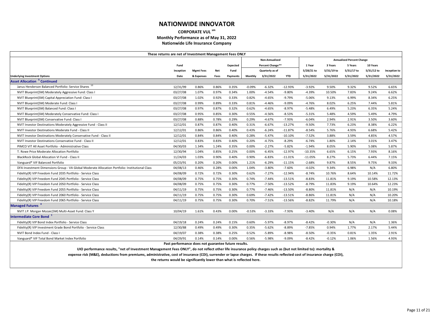#### **CORPORATE VUL sm Monthly Performance as of May 31, 2022 Nationwide Life Insurance Company**

|                                                                                                                                                                               | These returns are net of Investment Management Fees ONLY              |                  |       |                 |          |                  |            |            |            |                                  |            |              |
|-------------------------------------------------------------------------------------------------------------------------------------------------------------------------------|-----------------------------------------------------------------------|------------------|-------|-----------------|----------|------------------|------------|------------|------------|----------------------------------|------------|--------------|
|                                                                                                                                                                               |                                                                       |                  |       |                 |          | Non-Annualized   |            |            |            | <b>Annualized Percent Change</b> |            |              |
|                                                                                                                                                                               | Fund                                                                  |                  |       | <b>Expected</b> |          | Percent Change** |            | 1 Year     | 3 Years    | 5 Years                          | 10 Years   |              |
|                                                                                                                                                                               | Inception                                                             | <b>Mgmt Fees</b> | Net   | Fund            |          | Quarterly as of  |            | 5/28/21 to | 5/31/19 to | 5/31/17 to                       | 5/31/12 to | Inception to |
| <b>Underlying Investment Options</b>                                                                                                                                          | Date                                                                  | & Expenses       | Fees  | Payments        | Monthly  | 3/31/2022        | <b>YTD</b> | 5/31/2022  | 5/31/2022  | 5/31/2022                        | 5/31/2022  | 5/31/2022    |
| <b>Asset Allocation<sup>5</sup> Continued</b>                                                                                                                                 |                                                                       |                  |       |                 |          |                  |            |            |            |                                  |            |              |
| Janus Henderson Balanced Portfolio: Service Shares 10                                                                                                                         | 12/31/99                                                              | 0.86%            | 0.86% | 0.35%           | $-0.09%$ | $-6.32%$         | $-12.93%$  | $-3.92%$   | 9.50%      | 9.32%                            | 9.52%      | 6.65%        |
| NVIT Blueprint(SM) Moderately Aggressive Fund: Class I                                                                                                                        | 03/27/08                                                              | 1.07%            | 0.97% | 0.34%           | 1.00%    | $-4.54%$         | $-9.80%$   | $-4.39%$   | 10.50%     | 7.83%                            | 9.24%      | 6.62%        |
| NVIT Blueprint(SM) Capital Appreciation Fund: Class I                                                                                                                         | 03/27/08                                                              | 1.02%            | 0.92% | 0.33%           | 0.82%    | $-4.65%$         | $-9.79%$   | $-5.06%$   | 9.13%      | 6.99%                            | 8.34%      | 6.25%        |
| NVIT Blueprint(SM) Moderate Fund: Class I                                                                                                                                     | 03/27/08                                                              | 0.99%            | 0.89% | 0.33%           | 0.81%    | $-4.46%$         | $-9.09%$   | $-4.76%$   | 8.02%      | 6.25%                            | 7.44%      | 5.81%        |
| NVIT Blueprint(SM) Balanced Fund: Class I                                                                                                                                     | 03/27/08                                                              | 0.97%            | 0.87% | 0.32%           | 0.62%    | $-4.65%$         | -8.97%     | -5.48%     | 6.49%      | 5.23%                            | 6.35%      | 5.24%        |
| NVIT Blueprint(SM) Moderately Conservative Fund: Class I                                                                                                                      | 03/27/08                                                              | 0.95%            | 0.85% | 0.30%           | 0.55%    | $-4.56%$         | $-8.53%$   | $-5.31%$   | 5.48%      | 4.59%                            | 5.49%      | 4.79%        |
| NVIT Blueprint(SM) Conservative Fund: Class I                                                                                                                                 | 03/27/08                                                              | 0.88%            | 0.78% | 0.29%           | 0.29%    | $-4.67%$         | $-7.93%$   | $-6.04%$   | 2.94%      | 2.91%                            | 3.50%      | 3.60%        |
| NVIT Investor Destinations Moderately Aggressive Fund - Class II                                                                                                              | 12/12/01                                                              | 0.87%            | 0.87% | 0.40%           | 0.31%    | $-6.67%$         | $-13.27%$  | $-9.50%$   | 7.73%      | 6.23%                            | 8.38%      | 6.22%        |
| NVIT Investor Destinations Moderate Fund - Class II                                                                                                                           | 12/12/01                                                              | 0.86%            | 0.86% | 0.40%           | 0.43%    | $-6.24%$         | $-11.87%$  | $-8.54%$   | 5.76%      | 4.93%                            | 6.68%      | 5.42%        |
| NVIT Investor Destinations Moderately Conservative Fund - Class II                                                                                                            | 12/12/01                                                              | 0.84%            | 0.84% | 0.40%           | 0.28%    | $-5.47%$         | $-10.10%$  | $-7.52%$   | 3.88%      | 3.59%                            | 4.85%      | 4.57%        |
| <b>NVIT Investor Destinations Conservative Fund - Class II</b>                                                                                                                | 12/12/01                                                              | 0.83%            | 0.83% | 0.40%           | 0.20%    | $-4.75%$         | $-8.29%$   | $-6.74%$   | 1.80%      | 2.14%                            | 3.01%      | 3.47%        |
| PIMCO VIT All Asset Portfolio - Administrative Class                                                                                                                          | 04/30/03                                                              | 1.34%            | 1.24% | 0.35%           | 0.00%    | $-2.27%$         | $-5.82%$   | $-1.94%$   | 8.05%      | 5.90%                            | 5.08%      | 5.87%        |
| T. Rowe Price Moderate Allocation Portfolio                                                                                                                                   | 12/30/94                                                              | 1.04%            | 0.85% | 0.25%           | 0.00%    | $-6.45%$         | $-12.97%$  | $-10.35%$  | 6.65%      | 6.15%                            | 7.93%      | 8.16%        |
| <b>BlackRock Global Allocation VI Fund - Class II</b>                                                                                                                         | 11/24/03                                                              | 1.03%            | 0.90% | 0.40%           | 0.90%    | $-6.83%$         | $-11.01%$  | $-11.05%$  | 8.27%      | 5.73%                            | 6.44%      | 7.15%        |
| Vanguard® VIF Balanced Portfolio                                                                                                                                              | 05/23/91                                                              | 0.20%            | 0.20% | 0.00%           | 1.21%    | $-6.29%$         | $-11.15%$  | $-2.68%$   | 9.87%      | 8.55%                            | 9.75%      | 9.33%        |
| DFA Investment Dimensions Group - VA Global Moderate Allocation Portfolio: Institutional Class                                                                                | 04/08/13                                                              | 0.46%            | 0.28% | 0.00%           | 1.04%    | $-3.80%$         | $-7.60%$   | $-4.02%$   | 9.34%      | 6.98%                            | N/A        | 6.80%        |
| Fidelity(R) VIP Freedom Fund 2035 Portfolio - Service Class                                                                                                                   | 04/08/09                                                              | 0.72%            | 0.72% | 0.30%           | 0.62%    | $-7.27%$         | $-12.94%$  | $-8.74%$   | 10.76%     | 8.64%                            | 10.14%     | 11.72%       |
| Fidelity(R) VIP Freedom Fund 2045 Portfolio - Service Class                                                                                                                   | 04/08/09                                                              | 0.75%            | 0.75% | 0.30%           | 0.74%    | $-7.44%$         | $-13.51%$  | $-8.83%$   | 11.81%     | 9.19%                            | 10.58%     | 12.13%       |
| Fidelity(R) VIP Freedom Fund 2050 Portfolio - Service Class                                                                                                                   | 04/08/09                                                              | 0.75%            | 0.75% | 0.30%           | 0.77%    | $-7.50%$         | $-13.52%$  | $-8.79%$   | 11.83%     | 9.19%                            | 10.64%     | 12.23%       |
| Fidelity(R) VIP Freedom Fund 2055 Portfolio - Service Class                                                                                                                   | 04/11/19                                                              | 0.75%            | 0.75% | 0.30%           | 0.77%    | $-7.46%$         | $-13.50%$  | $-8.80%$   | 11.81%     | N/A                              | N/A        | 10.19%       |
| Fidelity(R) VIP Freedom Fund 2060 Portfolio - Service Class                                                                                                                   | 04/11/19                                                              | 0.75%            | 0.75% | 0.30%           | 0.69%    | $-7.42%$         | $-13.51%$  | $-8.86%$   | 11.81%     | N/A                              | N/A        | 10.20%       |
| Fidelity(R) VIP Freedom Fund 2065 Portfolio - Service Class                                                                                                                   | 04/11/19                                                              | 0.75%            | 0.75% | 0.30%           | 0.70%    | $-7.51%$         | $-13.56%$  | $-8.82%$   | 11.79%     | N/A                              | N/A        | 10.18%       |
| Managed Futures <sup>4</sup>                                                                                                                                                  |                                                                       |                  |       |                 |          |                  |            |            |            |                                  |            |              |
| NVIT J.P. Morgan Mozaic(SM) Multi-Asset Fund: Class Y                                                                                                                         | 10/04/19                                                              | 1.61%            | 0.43% | 0.00%           | $-0.53%$ | $-3.33%$         | $-7.93%$   | $-3.40%$   | N/A        | N/A                              | N/A        | 0.08%        |
| Intermediate Core Bond <sup>1</sup>                                                                                                                                           |                                                                       |                  |       |                 |          |                  |            |            |            |                                  |            |              |
| Fidelity(R) VIP Bond Index Portfolio - Service Class                                                                                                                          | 04/19/18                                                              | 0.24%            | 0.24% | 0.15%           | 0.60%    | $-5.97%$         | $-8.97%$   | $-8.42%$   | $-0.30%$   | N/A                              | N/A        | 1.36%        |
| Fidelity(R) VIP Investment Grade Bond Portfolio - Service Class                                                                                                               | 12/30/88                                                              | 0.49%            | 0.49% | 0.30%           | 0.35%    | $-5.62%$         | $-8.89%$   | $-7.85%$   | 0.94%      | 1.77%                            | 2.17%      | 5.44%        |
| NVIT Bond Index Fund - Class I                                                                                                                                                | 04/19/07                                                              | 0.38%            | 0.38% | 0.25%           | 0.52%    | $-5.89%$         | $-8.98%$   | $-8.50%$   | $-0.35%$   | 0.81%                            | 1.35%      | 2.91%        |
| Vanguard® VIF Total Bond Market Index Portfolio                                                                                                                               | 04/29/91                                                              | 0.14%            | 0.14% | 0.00%           | 0.56%    | $-5.98%$         | $-9.09%$   | $-8.42%$   | $-0.12%$   | 1.06%                            | 1.56%      | 4.93%        |
|                                                                                                                                                                               | Past performance does not guarantee future results.                   |                  |       |                 |          |                  |            |            |            |                                  |            |              |
| UIO performance results, "net of Investment Management Fees ONLY", do not reflect other life insurance policy charges such as (but not limited to): mortality &               |                                                                       |                  |       |                 |          |                  |            |            |            |                                  |            |              |
| expense risk (M&E), deductions from premiums, administrative, cost of insurance (COI), surrender or lapse charges. If these results reflected cost of insurance charge (COI), |                                                                       |                  |       |                 |          |                  |            |            |            |                                  |            |              |
|                                                                                                                                                                               | the returns would be significantly lower than what is reflected here. |                  |       |                 |          |                  |            |            |            |                                  |            |              |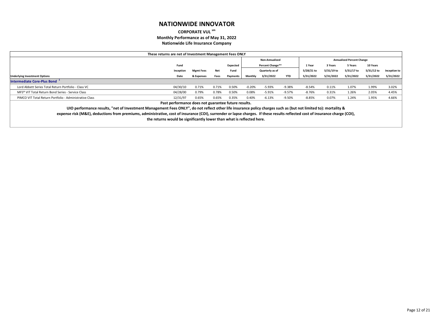### **CORPORATE VUL sm Monthly Performance as of May 31, 2022**

**Nationwide Life Insurance Company**

|                                                                                                                                                                 | These returns are net of Investment Management Fees ONLY |                  |       |          |          |                         |           |            |            |                                  |            |              |
|-----------------------------------------------------------------------------------------------------------------------------------------------------------------|----------------------------------------------------------|------------------|-------|----------|----------|-------------------------|-----------|------------|------------|----------------------------------|------------|--------------|
|                                                                                                                                                                 |                                                          |                  |       |          |          | <b>Non-Annualized</b>   |           |            |            | <b>Annualized Percent Change</b> |            |              |
|                                                                                                                                                                 | Fund                                                     |                  |       | Expected |          | <b>Percent Change**</b> |           | 1 Year     | 3 Years    | 5 Years                          | 10 Years   |              |
|                                                                                                                                                                 | Inception                                                | <b>Mgmt Fees</b> | Net   | Fund     |          | Quarterly as of         |           | 5/28/21 to | 5/31/19 to | 5/31/17 to                       | 5/31/12 to | Inception to |
| <b>Underlying Investment Options</b>                                                                                                                            | Date                                                     | & Expenses       | Fees  | Payments | Monthly  | 3/31/2022               | YTD       | 5/31/2022  | 5/31/2022  | 5/31/2022                        | 5/31/2022  | 5/31/2022    |
| Intermediate Core-Plus Bond                                                                                                                                     |                                                          |                  |       |          |          |                         |           |            |            |                                  |            |              |
| Lord Abbett Series Total Return Portfolio - Class VC                                                                                                            | 04/30/10                                                 | 0.71%            | 0.71% | 0.50%    | $-0.20%$ | $-5.93%$                | $-9.38%$  | -8.54%     | 0.11%      | 1.07%                            | 1.99%      | 3.02%        |
| MFS <sup>®</sup> VIT Total Return Bond Series - Service Class                                                                                                   | 04/28/00                                                 | 0.79%            | 0.78% | 0.50%    | 0.08%    | $-5.91%$                | $-9.57%$  | -8.76%     | 0.31%      | 1.26%                            | 2.05%      | 4.45%        |
| PIMCO VIT Total Return Portfolio - Administrative Class                                                                                                         | 12/31/97                                                 | 0.65%            | 0.65% | 0.35%    | 0.40%    | $-6.13%$                | $-9.50\%$ | -8.85%     | 0.07%      | 1.24%                            | 1.95%      | 4.66%        |
|                                                                                                                                                                 | Past performance does not guarantee future results.      |                  |       |          |          |                         |           |            |            |                                  |            |              |
| UIO performance results, "net of Investment Management Fees ONLY", do not reflect other life insurance policy charges such as (but not limited to): mortality & |                                                          |                  |       |          |          |                         |           |            |            |                                  |            |              |

**expense risk (M&E), deductions from premiums, administrative, cost of insurance (COI), surrender or lapse charges. If these results reflected cost of insurance charge (COI), the returns would be significantly lower than what is reflected here.**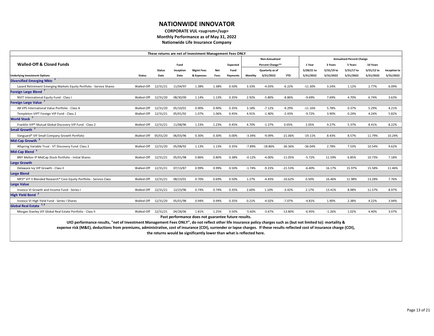#### **CORPORATE VUL <sup>sm</sup> Monthly Performance as of May 31, 2022 Nationwide Life Insurance Company**

|                                                                                                                                                                               |                     |               |           | These returns are net of Investment Management Fees ONLY              |            |          |          |                  |            |            |            |                                  |            |              |
|-------------------------------------------------------------------------------------------------------------------------------------------------------------------------------|---------------------|---------------|-----------|-----------------------------------------------------------------------|------------|----------|----------|------------------|------------|------------|------------|----------------------------------|------------|--------------|
|                                                                                                                                                                               |                     |               |           |                                                                       |            |          |          | Non-Annualized   |            |            |            | <b>Annualized Percent Change</b> |            |              |
| <b>Walled-Off &amp; Closed Funds</b>                                                                                                                                          |                     |               | Fund      |                                                                       |            | Expected |          | Percent Change** |            | 1 Year     | 3 Years    | 5 Years                          | 10 Years   |              |
|                                                                                                                                                                               |                     | <b>Status</b> | Inception | <b>Mgmt Fees</b>                                                      | <b>Net</b> | Fund     |          | Quarterly as of  |            | 5/28/21 to | 5/31/19 to | 5/31/17 to                       | 5/31/12 to | Inception to |
| <b>Underlying Investment Options</b>                                                                                                                                          | <b>Status</b>       | Date          | Date      | & Expenses                                                            | Fees       | Payments | Monthly  | 3/31/2022        | <b>YTD</b> | 5/31/2022  | 5/31/2022  | 5/31/2022                        | 5/31/2022  | 5/31/2022    |
| Diversified Emerging Mkts <sup>3</sup>                                                                                                                                        |                     |               |           |                                                                       |            |          |          |                  |            |            |            |                                  |            |              |
| Lazard Retirement Emerging Markets Equity Portfolio - Service Shares                                                                                                          | Walled-Off          | 12/31/21      | 11/04/97  | 1.38%                                                                 | 1.38%      | 0.50%    | 3.33%    | $-4.03%$         | $-6.22%$   | $-11.30%$  | 3.24%      | 1.12%                            | 2.77%      | 6.09%        |
| Foreign Large Blend <sup>7</sup>                                                                                                                                              |                     |               |           |                                                                       |            |          |          |                  |            |            |            |                                  |            |              |
| <b>NVIT International Equity Fund - Class I</b>                                                                                                                               | Walled-Off 12/31/20 |               | 08/30/00  | 1.14%                                                                 | 1.13%      | 0.35%    | 2.92%    | $-5.80%$         | $-8.86%$   | $-9.69%$   | 7.69%      | 4.70%                            | 6.74%      | 3.63%        |
| <b>Foreign Large Value</b>                                                                                                                                                    |                     |               |           |                                                                       |            |          |          |                  |            |            |            |                                  |            |              |
| AB VPS International Value Portfolio - Class A                                                                                                                                | Walled-Off          | 12/31/20      | 05/10/01  | 0.90%                                                                 | 0.90%      | 0.35%    | 3.18%    | $-7.12%$         | $-9.29%$   | $-11.16%$  | 5.78%      | 0.37%                            | 5.29%      | 4.21%        |
| Templeton VIPT Foreign VIP Fund - Class 2                                                                                                                                     | Walled-Off          | 12/31/21      | 05/01/92  | 1.07%                                                                 | 1.06%      | 0.45%    | 4.91%    | $-1.40%$         | $-2.43%$   | $-9.72%$   | 3.90%      | 0.24%                            | 4.24%      | 5.82%        |
| World Stock <sup>7</sup>                                                                                                                                                      |                     |               |           |                                                                       |            |          |          |                  |            |            |            |                                  |            |              |
| Franklin VIP® Mutual Global Discovery VIP Fund - Class 2                                                                                                                      | Walled-Off          | 12/31/21      | 11/08/96  | 1.23%                                                                 | 1.23%      | 0.45%    | 4.70%    | $-1.27%$         | 0.05%      | 2.05%      | 9.27%      | 5.37%                            | 8.41%      | 8.22%        |
| <b>Small Growth</b>                                                                                                                                                           |                     |               |           |                                                                       |            |          |          |                  |            |            |            |                                  |            |              |
| Vanguard® VIF Small Company Growth Portfolio                                                                                                                                  | Walled-Off 05/01/20 |               | 06/03/96  | 0.30%                                                                 | 0.30%      | 0.00%    | $-3.34%$ | $-9.09%$         | $-21.06%$  | $-19.11%$  | 8.43%      | 8.57%                            | 11.79%     | 10.24%       |
| Mid-Cap Growth <sup>3</sup>                                                                                                                                                   |                     |               |           |                                                                       |            |          |          |                  |            |            |            |                                  |            |              |
| Allspring Variable Trust - VT Discovery Fund: Class 2                                                                                                                         | Walled-Off 12/31/20 |               | 05/08/92  | 1.13%                                                                 | 1.13%      | 0.35%    | $-7.89%$ | $-18.86%$        | $-36.36%$  | $-36.04%$  | 2.78%      | 7.53%                            | 10.54%     | 9.62%        |
| <b>Mid-Cap Blend</b>                                                                                                                                                          |                     |               |           |                                                                       |            |          |          |                  |            |            |            |                                  |            |              |
| BNY Mellon IP MidCap Stock Portfolio - Initial Shares                                                                                                                         | Walled-Off 12/31/21 |               | 05/01/98  | 0.86%                                                                 | 0.80%      | 0.38%    | $-0.12%$ | $-4.00%$         | $-11.05%$  | $-5.72%$   | 11.59%     | 6.85%                            | 10.73%     | 7.18%        |
| <b>Large Growth</b>                                                                                                                                                           |                     |               |           |                                                                       |            |          |          |                  |            |            |            |                                  |            |              |
| Delaware Ivy VIP Growth - Class II                                                                                                                                            | Walled-Off 12/31/21 |               | 07/13/87  | 0.99%                                                                 | 0.99%      | 0.50%    | $-1.74%$ | $-9.23%$         | $-21.53%$  | $-6.40%$   | 16.17%     | 15.97%                           | 15.58%     | 11.46%       |
| <b>Large Blend</b>                                                                                                                                                            |                     |               |           |                                                                       |            |          |          |                  |            |            |            |                                  |            |              |
| MFS® VIT II Blended Research® Core Equity Portfolio - Service Class                                                                                                           | Walled-Off 12/31/21 |               | 08/23/01  | 0.70%                                                                 | 0.69%      | 0.50%    | 1.27%    | $-4.43%$         | $-10.62%$  | 0.50%      | 16.46%     | 11.98%                           | 13.28%     | 7.76%        |
| <b>Large Value</b>                                                                                                                                                            |                     |               |           |                                                                       |            |          |          |                  |            |            |            |                                  |            |              |
| <b>Invesco VI Growth and Income Fund - Series I</b>                                                                                                                           | Walled-Off 12/31/21 |               | 12/23/96  | 0.74%                                                                 | 0.74%      | 0.35%    | 2.60%    | 1.10%            | $-3.42%$   | 2.17%      | 13.41%     | 8.98%                            | 11.57%     | 8.97%        |
| High Yield Bond <sup>2</sup>                                                                                                                                                  |                     |               |           |                                                                       |            |          |          |                  |            |            |            |                                  |            |              |
| Invesco VI High Yield Fund - Series I Shares                                                                                                                                  | Walled-Off 12/31/20 |               | 05/01/98  | 0.94%                                                                 | 0.94%      | 0.35%    | 0.21%    | $-4.02%$         | $-7.07%$   | $-4.81%$   | 1.90%      | 2.38%                            | 4.22%      | 3.94%        |
| Global Real Estate <sup>7,9</sup>                                                                                                                                             |                     |               |           |                                                                       |            |          |          |                  |            |            |            |                                  |            |              |
| Morgan Stanley VIF Global Real Estate Portfolio - Class II                                                                                                                    | Walled-Off 12/31/21 |               | 04/28/06  | 1.81%                                                                 | 1.25%      | 0.50%    | $-5.60%$ | $-3.67%$         | $-13.80%$  | $-6.95%$   | $-1.26%$   | 1.02%                            | 4.40%      | 3.07%        |
|                                                                                                                                                                               |                     |               |           | Past performance does not guarantee future results.                   |            |          |          |                  |            |            |            |                                  |            |              |
| UIO performance results, "net of Investment Management Fees ONLY", do not reflect other life insurance policy charges such as (but not limited to): mortality &               |                     |               |           |                                                                       |            |          |          |                  |            |            |            |                                  |            |              |
| expense risk (M&E), deductions from premiums, administrative, cost of insurance (COI), surrender or lapse charges. If these results reflected cost of insurance charge (COI), |                     |               |           |                                                                       |            |          |          |                  |            |            |            |                                  |            |              |
|                                                                                                                                                                               |                     |               |           | the returns would be significantly lower than what is reflected here. |            |          |          |                  |            |            |            |                                  |            |              |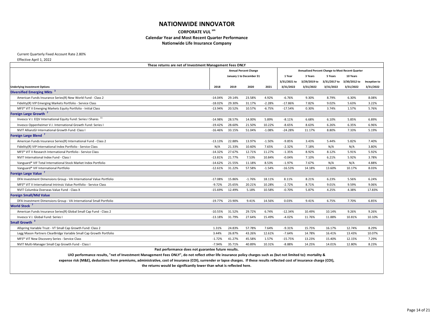**CORPORATE VUL sm**

#### **Calendar Year and Most Recent Quarter Performance**

**Nationwide Life Insurance Company**

Current Quarterly Fixed Account Rate 2.80%

Effective April 1, 2022

|                                                                                 | These returns are net of Investment Management Fees ONLY |        |                              |          |              |                                                  |              |              |              |
|---------------------------------------------------------------------------------|----------------------------------------------------------|--------|------------------------------|----------|--------------|--------------------------------------------------|--------------|--------------|--------------|
|                                                                                 |                                                          |        | <b>Annual Percent Change</b> |          |              | Annualized Percent Change to Most Recent Quarter |              |              |              |
|                                                                                 |                                                          |        | January 1 to December 31     |          | 1 Year       | 3 Years                                          | 5 Years      | 10 Years     |              |
|                                                                                 |                                                          |        |                              |          | 3/31/2021 to | 3/29/2019 to                                     | 3/31/2017 to | 3/30/2012 to | Inception to |
| <b>Underlying Investment Options</b>                                            | 2018                                                     | 2019   | 2020                         | 2021     | 3/31/2022    | 3/31/2022                                        | 3/31/2022    | 3/31/2022    | 3/31/2022    |
| <b>Diversified Emerging Mkts</b>                                                |                                                          |        |                              |          |              |                                                  |              |              |              |
| American Funds Insurance Series(R) New World Fund - Class 2                     | $-14.04%$                                                | 29.14% | 23.58%                       | 4.92%    | $-6.76%$     | 9.30%                                            | 8.79%        | 6.30%        | 8.08%        |
| Fidelity(R) VIP Emerging Markets Portfolio - Service Class                      | $-18.02%$                                                | 29.30% | 31.17%                       | $-2.28%$ | $-17.86%$    | 7.82%                                            | 9.02%        | 5.63%        | 3.22%        |
| MFS® VIT II Emerging Markets Equity Portfolio - Initial Class                   | $-13.94%$                                                | 20.52% | 10.57%                       | $-6.75%$ | $-17.54%$    | 0.30%                                            | 3.74%        | 1.57%        | 5.76%        |
| Foreign Large Growth <sup>7</sup>                                               |                                                          |        |                              |          |              |                                                  |              |              |              |
| Invesco V.I. EQV International Equity Fund: Series I Shares <sup>11</sup>       | $-14.98%$                                                | 28.57% | 14.00%                       | 5.89%    | $-8.11%$     | 6.68%                                            | 6.10%        | 5.85%        | 6.89%        |
| Invesco Oppenheimer V.I. International Growth Fund: Series I                    | $-19.42%$                                                | 28.60% | 21.50%                       | 10.22%   | -8.65%       | 8.63%                                            | 6.26%        | 6.35%        | 6.96%        |
| NVIT AllianzGI International Growth Fund: Class I                               | $-16.46%$                                                | 33.15% | 51.04%                       | $-1.08%$ | $-24.28%$    | 11.17%                                           | 8.80%        | 7.33%        | 5.19%        |
| Foreign Large Blend <sup>7</sup>                                                |                                                          |        |                              |          |              |                                                  |              |              |              |
| American Funds Insurance Series(R) International Fund - Class 2                 | $-13.13%$                                                | 22.88% | 13.97%                       | $-1.50%$ | $-9.85%$     | 3.43%                                            | 5.44%        | 5.82%        | 7.40%        |
| Fidelity(R) VIP International Index Portfolio - Service Class                   | N/A                                                      | 21.33% | 10.60%                       | 7.65%    | $-2.32%$     | 7.18%                                            | N/A          | N/A          | 3.80%        |
| MFS <sup>®</sup> VIT II Research International Portfolio - Service Class        | $-14.32%$                                                | 27.67% | 12.71%                       | 11.27%   | $-1.35%$     | 8.92%                                            | 8.12%        | 5.91%        | 5.92%        |
| NVIT International Index Fund - Class I                                         | $-13.81%$                                                | 21.77% | 7.53%                        | 10.84%   | $-0.04%$     | 7.10%                                            | 6.21%        | 5.92%        | 3.78%        |
| Vanguard® VIF Total International Stock Market Index Portfolio                  | $-14.62%$                                                | 21.55% | 11.18%                       | 8.53%    | $-1.97%$     | 7.67%                                            | N/A          | N/A          | 4.88%        |
| Vanguard® VIF International Portfolio                                           | $-12.61%$                                                | 31.22% | 57.58%                       | $-1.54%$ | $-16.53%$    | 14.18%                                           | 13.60%       | 10.17%       | 8.03%        |
| Foreign Large Value <sup>7</sup>                                                |                                                          |        |                              |          |              |                                                  |              |              |              |
| DFA Investment Dimensions Group - VA International Value Portfolio              | $-17.08%$                                                | 15.86% | $-1.76%$                     | 18.11%   | 8.11%        | 8.21%                                            | 6.23%        | 5.56%        | 6.24%        |
| MFS <sup>®</sup> VIT II International Intrinsic Value Portfolio - Service Class | $-9.72%$                                                 | 25.65% | 20.21%                       | 10.28%   | $-2.72%$     | 8.71%                                            | 9.01%        | 9.59%        | 9.06%        |
| NVIT Columbia Overseas Value Fund - Class X                                     | $-15.69%$                                                | 12.49% | 5.18%                        | 10.58%   | $-0.70%$     | 5.87%                                            | 4.25%        | 4.38%        | 17.83%       |
| <b>Foreign Small/Mid Value</b>                                                  |                                                          |        |                              |          |              |                                                  |              |              |              |
| DFA Investment Dimensions Group - VA International Small Portfolio              | $-19.77%$                                                | 23.90% | 9.41%                        | 14.56%   | 0.03%        | 9.41%                                            | 6.75%        | 7.70%        | 6.85%        |
| World Stock <sup>7</sup>                                                        |                                                          |        |                              |          |              |                                                  |              |              |              |
| American Funds Insurance Series(R) Global Small Cap Fund - Class 2              | $-10.55%$                                                | 31.52% | 29.72%                       | 6.74%    | $-12.34%$    | 10.49%                                           | 10.14%       | 9.26%        | 9.26%        |
| Invesco V.I. Global Fund: Series I                                              | $-13.18%$                                                | 31.79% | 27.64%                       | 15.49%   | $-4.02%$     | 11.76%                                           | 11.88%       | 10.81%       | 10.10%       |
| Small Growth <sup>3</sup>                                                       |                                                          |        |                              |          |              |                                                  |              |              |              |
| Allspring Variable Trust - VT Small Cap Growth Fund: Class 2                    | 1.31%                                                    | 24.83% | 57.78%                       | 7.64%    | $-9.31%$     | 15.75%                                           | 16.17%       | 12.74%       | 8.29%        |
| Legg Mason Partners ClearBridge Variable Small Cap Growth Portfolio             | 3.44%                                                    | 26.87% | 43.26%                       | 12.61%   | $-7.64%$     | 14.78%                                           | 16.41%       | 13.43%       | 10.07%       |
| MFS® VIT New Discovery Series - Service Class                                   | $-1.72%$                                                 | 41.27% | 45.58%                       | 1.57%    | $-15.75%$    | 13.23%                                           | 15.40%       | 12.15%       | 7.29%        |
| NVIT Multi-Manager Small Cap Growth Fund - Class I                              | $-7.94%$                                                 | 35.71% | 40.89%                       | 10.31%   | $-8.88%$     | 14.25%                                           | 14.01%       | 12.80%       | 8.23%        |
|                                                                                 |                                                          |        |                              |          |              |                                                  |              |              |              |

**Past performance does not guarantee future results.**

**UIO performance results, "net of Investment Management Fees ONLY", do not reflect other life insurance policy charges such as (but not limited to): mortality & expense risk (M&E), deductions from premiums, administrative, cost of insurance (COI), surrender or lapse charges. If these results reflected cost of insurance charge (COI),**

| 10 Years<br>3/30/2012 to<br>Inception to<br>3/31/2022<br>3/31/2022<br>6.30%<br>8.08%<br>5.63%<br>3.22%<br>1.57%<br>5.76%<br>5.85%<br>6.89%<br>6.35%<br>6.96%<br>5.19%<br>7.33%<br>5.82%<br>7.40%<br>N/A<br>3.80%<br>5.91%<br>5.92%<br>5.92%<br>3.78%<br>N/A<br>4.88%<br>10.17%<br>8.03%<br>5.56%<br>6.24%<br>9.59%<br>9.06%<br>17.83%<br>4.38%<br>6.85%<br>7.70%<br>9.26%<br>9.26%<br>10.81%<br>10.10%<br>12.74%<br>8.29%<br>13.43%<br>10.07%<br>12.15%<br>7.29% | st Recent Quarter |  |
|------------------------------------------------------------------------------------------------------------------------------------------------------------------------------------------------------------------------------------------------------------------------------------------------------------------------------------------------------------------------------------------------------------------------------------------------------------------|-------------------|--|
|                                                                                                                                                                                                                                                                                                                                                                                                                                                                  |                   |  |
|                                                                                                                                                                                                                                                                                                                                                                                                                                                                  |                   |  |
|                                                                                                                                                                                                                                                                                                                                                                                                                                                                  |                   |  |
|                                                                                                                                                                                                                                                                                                                                                                                                                                                                  |                   |  |
|                                                                                                                                                                                                                                                                                                                                                                                                                                                                  |                   |  |
|                                                                                                                                                                                                                                                                                                                                                                                                                                                                  |                   |  |
|                                                                                                                                                                                                                                                                                                                                                                                                                                                                  |                   |  |
|                                                                                                                                                                                                                                                                                                                                                                                                                                                                  |                   |  |
|                                                                                                                                                                                                                                                                                                                                                                                                                                                                  |                   |  |
|                                                                                                                                                                                                                                                                                                                                                                                                                                                                  |                   |  |
|                                                                                                                                                                                                                                                                                                                                                                                                                                                                  |                   |  |
|                                                                                                                                                                                                                                                                                                                                                                                                                                                                  |                   |  |
|                                                                                                                                                                                                                                                                                                                                                                                                                                                                  |                   |  |
|                                                                                                                                                                                                                                                                                                                                                                                                                                                                  |                   |  |
|                                                                                                                                                                                                                                                                                                                                                                                                                                                                  |                   |  |
|                                                                                                                                                                                                                                                                                                                                                                                                                                                                  |                   |  |
|                                                                                                                                                                                                                                                                                                                                                                                                                                                                  |                   |  |
|                                                                                                                                                                                                                                                                                                                                                                                                                                                                  |                   |  |
|                                                                                                                                                                                                                                                                                                                                                                                                                                                                  |                   |  |
|                                                                                                                                                                                                                                                                                                                                                                                                                                                                  |                   |  |
|                                                                                                                                                                                                                                                                                                                                                                                                                                                                  |                   |  |
|                                                                                                                                                                                                                                                                                                                                                                                                                                                                  |                   |  |
|                                                                                                                                                                                                                                                                                                                                                                                                                                                                  |                   |  |
|                                                                                                                                                                                                                                                                                                                                                                                                                                                                  |                   |  |
|                                                                                                                                                                                                                                                                                                                                                                                                                                                                  |                   |  |
|                                                                                                                                                                                                                                                                                                                                                                                                                                                                  |                   |  |
|                                                                                                                                                                                                                                                                                                                                                                                                                                                                  |                   |  |
|                                                                                                                                                                                                                                                                                                                                                                                                                                                                  |                   |  |
|                                                                                                                                                                                                                                                                                                                                                                                                                                                                  |                   |  |
|                                                                                                                                                                                                                                                                                                                                                                                                                                                                  |                   |  |
|                                                                                                                                                                                                                                                                                                                                                                                                                                                                  |                   |  |
| 8.23%                                                                                                                                                                                                                                                                                                                                                                                                                                                            | 12.80%            |  |
|                                                                                                                                                                                                                                                                                                                                                                                                                                                                  |                   |  |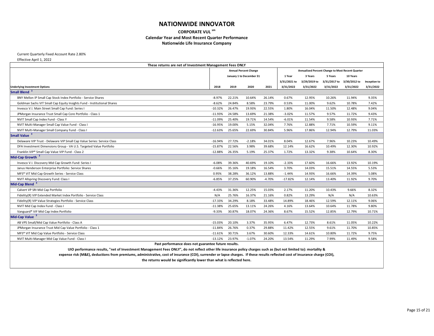**CORPORATE VUL sm Calendar Year and Most Recent Quarter Performance**

**Nationwide Life Insurance Company**

Current Quarterly Fixed Account Rate 2.80%

Effective April 1, 2022

|                                                                         | These returns are net of Investment Management Fees ONLY |        |                              |          |              |              |              |                                                  |              |
|-------------------------------------------------------------------------|----------------------------------------------------------|--------|------------------------------|----------|--------------|--------------|--------------|--------------------------------------------------|--------------|
|                                                                         |                                                          |        | <b>Annual Percent Change</b> |          |              |              |              | Annualized Percent Change to Most Recent Quarter |              |
|                                                                         |                                                          |        | January 1 to December 31     |          | 1 Year       | 3 Years      | 5 Years      | 10 Years                                         |              |
|                                                                         |                                                          |        |                              |          | 3/31/2021 to | 3/29/2019 to | 3/31/2017 to | 3/30/2012 to                                     | Inception to |
| <b>Underlying Investment Options</b>                                    | 2018                                                     | 2019   | 2020                         | 2021     | 3/31/2022    | 3/31/2022    | 3/31/2022    | 3/31/2022                                        | 3/31/2022    |
| Small Blend <sup>3</sup>                                                |                                                          |        |                              |          |              |              |              |                                                  |              |
| BNY Mellon IP Small Cap Stock Index Portfolio - Service Shares          | $-8.97%$                                                 | 22.21% | 10.64%                       | 26.14%   | 0.67%        | 12.95%       | 10.26%       | 11.94%                                           | 9.35%        |
| Goldman Sachs VIT Small Cap Equity Insights Fund - Institutional Shares | $-8.62%$                                                 | 24.84% | 8.58%                        | 23.79%   | 0.53%        | 11.00%       | 9.62%        | 10.78%                                           | 7.42%        |
| Invesco V.I. Main Street Small Cap Fund: Series I                       | $-10.32%$                                                | 26.47% | 19.93%                       | 22.55%   | 1.80%        | 16.04%       | 11.50%       | 12.48%                                           | 9.04%        |
| JPMorgan Insurance Trust Small Cap Core Portfolio - Class 1             | $-11.93%$                                                | 24.58% | 13.69%                       | 21.38%   | $-3.02%$     | 11.57%       | 9.57%        | 11.72%                                           | 9.43%        |
| NVIT Small Cap Index Fund - Class Y                                     | $-11.09%$                                                | 25.40% | 19.71%                       | 14.54%   | $-6.01\%$    | 11.54%       | 9.58%        | 10.93%                                           | 7.71%        |
| NVIT Multi-Manager Small Cap Value Fund - Class I                       | $-16.95%$                                                | 19.00% | 5.15%                        | 32.04%   | 7.76%        | 12.88%       | 7.71%        | 10.59%                                           | 9.11%        |
| NVIT Multi-Manager Small Company Fund - Class I                         | $-12.63%$                                                | 25.65% | 22.69%                       | 30.84%   | 5.96%        | 17.86%       | 12.94%       | 12.79%                                           | 11.03%       |
| <b>Small Value</b>                                                      |                                                          |        |                              |          |              |              |              |                                                  |              |
| Delaware VIP Trust - Delaware VIP Small Cap Value Series: Service Class | $-16.94%$                                                | 27.72% | $-2.18%$                     | 34.01%   | 8.04%        | 12.67%       | 7.96%        | 10.23%                                           | 10.49%       |
| DFA Investment Dimensions Group - VA U.S. Targeted Value Portfolio      | $-15.87%$                                                | 22.56% | 3.98%                        | 39.68%   | 12.14%       | 16.62%       | 10.49%       | 12.30%                                           | 10.92%       |
| Franklin VIP® Small Cap Value VIP Fund - Class 2                        | $-12.88%$                                                | 26.35% | 5.19%                        | 25.37%   | 1.72%        | 13.32%       | 9.38%        | 10.64%                                           | 8.30%        |
| Mid-Cap Growth <sup>3</sup>                                             |                                                          |        |                              |          |              |              |              |                                                  |              |
| Invesco V.I. Discovery Mid Cap Growth Fund: Series I                    | $-6.08%$                                                 | 39.36% | 40.69%                       | 19.10%   | $-2.33%$     | 17.60%       | 16.66%       | 13.92%                                           | 10.19%       |
| Janus Henderson Enterprise Portfolio: Service Shares                    | $-0.66%$                                                 | 35.16% | 19.18%                       | 16.54%   | 3.70%        | 14.03%       | 15.51%       | 14.55%                                           | 5.53%        |
| MFS® VIT Mid Cap Growth Series - Service Class                          | 0.95%                                                    | 38.28% | 36.12%                       | 13.88%   | $-1.44%$     | 14.93%       | 16.66%       | 14.39%                                           | 5.08%        |
| <b>NVIT Allspring Discovery Fund: Class I</b>                           | $-6.85%$                                                 | 37.25% | 60.90%                       | $-4.70%$ | $-17.82%$    | 12.14%       | 13.40%       | 11.92%                                           | 9.70%        |
| Mid-Cap Blend <sup>3</sup>                                              |                                                          |        |                              |          |              |              |              |                                                  |              |
| Calvert VP SRI Mid Cap Portfolio                                        | $-4.43%$                                                 | 31.36% | 12.25%                       | 15.03%   | 2.17%        | 11.20%       | 10.43%       | 9.66%                                            | 8.32%        |
| Fidelity(R) VIP Extended Market Index Portfolio - Service Class         | N/A                                                      | 25.76% | 16.37%                       | 21.16%   | 0.82%        | 13.29%       | N/A          | N/A                                              | 10.63%       |
| Fidelity(R) VIP Value Strategies Portfolio - Service Class              | $-17.33%$                                                | 34.29% | 8.18%                        | 33.48%   | 14.89%       | 18.46%       | 12.59%       | 12.11%                                           | 9.06%        |
| NVIT Mid Cap Index Fund - Class I                                       | $-11.38%$                                                | 25.65% | 13.11%                       | 24.26%   | 4.16%        | 13.64%       | 10.64%       | 11.78%                                           | 9.80%        |
| Vanguard® VIF Mid Cap Index Portfolio                                   | $-9.33%$                                                 | 30.87% | 18.07%                       | 24.36%   | 8.67%        | 15.52%       | 12.85%       | 12.79%                                           | 10.71%       |
| Mid-Cap Value <sup>3</sup>                                              |                                                          |        |                              |          |              |              |              |                                                  |              |
| AB VPS Small/Mid Cap Value Portfolio - Class A                          | $-15.03%$                                                | 20.10% | 3.37%                        | 35.95%   | 6.47%        | 12.73%       | 8.61%        | 11.05%                                           | 10.22%       |
| JPMorgan Insurance Trust Mid Cap Value Portfolio - Class 1              | $-11.84%$                                                | 26.76% | 0.37%                        | 29.88%   | 11.42%       | 12.55%       | 9.61%        | 11.70%                                           | 10.85%       |
| MFS® VIT Mid Cap Value Portfolio - Service Class                        | $-11.61%$                                                | 30.71% | 3.67%                        | 30.60%   | 12.33%       | 14.61%       | 10.80%       | 11.72%                                           | 9.75%        |
| NVIT Multi-Manager Mid Cap Value Fund - Class I                         | $-13.12%$                                                | 23.97% | $-1.07%$                     | 24.20%   | 13.54%       | 11.29%       | 7.99%        | 11.49%                                           | 9.58%        |
|                                                                         | Dast norformance doos not guarantee future results       |        |                              |          |              |              |              |                                                  |              |

**Past performance does not guarantee future results.**

**UIO performance results, "net of Investment Management Fees ONLY", do not reflect other life insurance policy charges such as (but not limited to): mortality & expense risk (M&E), deductions from premiums, administrative, cost of insurance (COI), surrender or lapse charges. If these results reflected cost of insurance charge (COI),**

| <b>st Recent Quarter</b> |              |
|--------------------------|--------------|
| 10 Years                 |              |
| 3/30/2012 to             | Inception to |
| 3/31/2022                | 3/31/2022    |
|                          |              |
| 11.94%                   | 9.35%        |
| 10.78%                   | 7.42%        |
| 12.48%                   | 9.04%        |
| 11.72%                   | 9.43%        |
| 10.93%                   | 7.71%        |
| 10.59%                   | 9.11%        |
| 12.79%                   | 11.03%       |
|                          |              |
| 10.23%                   | 10.49%       |
| 12.30%                   | 10.92%       |
| 10.64%                   | 8.30%        |
|                          |              |
| 13.92%                   | 10.19%       |
| 14.55%                   | 5.53%        |
| 14.39%                   | 5.08%        |
| 11.92%                   | 9.70%        |
|                          |              |
| 9.66%                    | 8.32%        |
| N/A                      | 10.63%       |
| 12.11%                   | 9.06%        |
| 11.78%                   | 9.80%        |
| 12.79%                   | 10.71%       |
|                          |              |
| 11.05%                   | 10.22%       |
| 11.70%                   | 10.85%       |
|                          | 9.75%        |
| 11.72%                   | 9.58%        |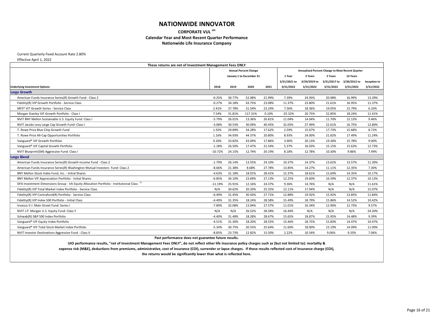**CORPORATE VUL sm**

### **Calendar Year and Most Recent Quarter Performance**

**Nationwide Life Insurance Company**

Current Quarterly Fixed Account Rate 2.80%

Effective April 1, 2022

|                                                                                           | These returns are net of Investment Management Fees ONLY |                              |         |        |              |                                                  |              |              |              |  |  |
|-------------------------------------------------------------------------------------------|----------------------------------------------------------|------------------------------|---------|--------|--------------|--------------------------------------------------|--------------|--------------|--------------|--|--|
|                                                                                           |                                                          | <b>Annual Percent Change</b> |         |        |              | Annualized Percent Change to Most Recent Quarter |              |              |              |  |  |
|                                                                                           |                                                          | January 1 to December 31     |         |        | 1 Year       | 3 Years                                          | 5 Years      | 10 Years     |              |  |  |
|                                                                                           |                                                          |                              |         |        | 3/31/2021 to | 3/29/2019 to                                     | 3/31/2017 to | 3/30/2012 to | Inception to |  |  |
| <b>Underlying Investment Options</b>                                                      | 2018                                                     | 2019                         | 2020    | 2021   | 3/31/2022    | 3/31/2022                                        | 3/31/2022    | 3/31/2022    | 3/31/2022    |  |  |
| <b>Large Growth</b>                                                                       |                                                          |                              |         |        |              |                                                  |              |              |              |  |  |
| American Funds Insurance Series(R) Growth Fund - Class 2                                  | $-0.25%$                                                 | 30.77%                       | 52.08%  | 21.99% | 7.39%        | 24.93%                                           | 20.98%       | 16.99%       | 13.39%       |  |  |
| Fidelity(R) VIP Growth Portfolio - Service Class                                          | $-0.27%$                                                 | 34.18%                       | 43.75%  | 23.08% | 11.37%       | 23.80%                                           | 21.61%       | 16.95%       | 11.37%       |  |  |
| MFS <sup>®</sup> VIT Growth Series - Service Class                                        | 2.41%                                                    | 37.78%                       | 31.54%  | 23.24% | 7.56%        | 18.36%                                           | 19.05%       | 15.79%       | 6.10%        |  |  |
| Morgan Stanley VIF Growth Portfolio - Class I                                             | 7.54%                                                    | 31.81%                       | 117.31% | 0.10%  | $-25.32%$    | 20.75%                                           | 22.85%       | 18.24%       | 11.41%       |  |  |
| NVIT BNY Mellon Sustainable U.S. Equity Fund: Class I                                     | $-5.79%$                                                 | 26.01%                       | 13.36%  | 26.81% | 11.04%       | 14.04%                                           | 11.70%       | 12.13%       | 9.46%        |  |  |
| NVIT Jacobs Levy Large Cap Growth Fund: Class I                                           | $-3.08%$                                                 | 30.53%                       | 30.09%  | 40.45% | 32.05%       | 27.49%                                           | 22.61%       | 16.75%       | 12.80%       |  |  |
| T. Rowe Price Blue Chip Growth Fund                                                       | 1.92%                                                    | 29.89%                       | 34.28%  | 17.62% | 2.59%        | 15.67%                                           | 17.73%       | 15.68%       | 8.72%        |  |  |
| T. Rowe Price All-Cap Opportunities Portfolio                                             | 1.16%                                                    | 34.93%                       | 44.37%  | 20.80% | 8.93%        | 24.00%                                           | 21.82%       | 17.49%       | 11.24%       |  |  |
| Vanguard® VIF Growth Portfolio                                                            | 0.20%                                                    | 33.82%                       | 43.09%  | 17.86% | 3.90%        | 20.13%                                           | 19.30%       | 15.78%       | 9.00%        |  |  |
| Vanguard® VIF Capital Growth Portfolio                                                    | $-1.18%$                                                 | 26.50%                       | 17.47%  | 21.54% | 5.37%        | 16.03%                                           | 15.15%       | 15.63%       | 12.73%       |  |  |
| NVIT Blueprint(SM) Aggressive Fund: Class I                                               | $-10.72%$                                                | 24.15%                       | 12.74%  | 20.19% | 8.18%        | 12.78%                                           | 10.30%       | 9.86%        | 7.49%        |  |  |
| <b>Large Blend</b>                                                                        |                                                          |                              |         |        |              |                                                  |              |              |              |  |  |
| American Funds Insurance Series(R) Growth-Income Fund - Class 2                           | $-1.79%$                                                 | 26.14%                       | 13.55%  | 24.10% | 10.37%       | 14.37%                                           | 13.62%       | 13.57%       | 11.30%       |  |  |
| American Funds Insurance Series(R) Washington Mutual Investors Fund: Class 2              | $-8.66%$                                                 | 21.38%                       | 8.68%   | 27.78% | 13.85%       | 14.27%                                           | 11.11%       | 12.35%       | 7.30%        |  |  |
| BNY Mellon Stock Index Fund, Inc. - Initial Shares                                        | $-4.63%$                                                 | 31.18%                       | 18.01%  | 28.41% | 15.37%       | 18.61%                                           | 15.69%       | 14.35%       | 10.17%       |  |  |
| BNY Mellon VIF Appreciation Portfolio - Initial Shares                                    | $-6.85%$                                                 | 36.10%                       | 23.69%  | 27.13% | 12.25%       | 19.60%                                           | 16.59%       | 12.37%       | 10.13%       |  |  |
| DFA Investment Dimensions Group - VA Equity Allocation Portfolio - Institutional Class 11 | $-11.19%$                                                | 25.91%                       | 12.16%  | 24.37% | 9.36%        | 14.76%                                           | N/A          | N/A          | 11.61%       |  |  |
| Fidelity(R) VIP Total Market Index Portfolio - Service Class                              | N/A                                                      | 30.62%                       | 20.20%  | 25.55% | 12.11%       | 17.94%                                           | N/A          | N/A          | 15.07%       |  |  |
| Fidelity(R) VIP Contrafund(R) Portfolio - Service Class                                   | $-6.49%$                                                 | 31.45%                       | 30.43%  | 27.71% | 12.88%       | 19.92%                                           | 15.92%       | 13.85%       | 11.84%       |  |  |
| Fidelity(R) VIP Index 500 Portfolio - Initial Class                                       | $-4.49%$                                                 | 31.35%                       | 18.24%  | 28.58% | 15.49%       | 18.79%                                           | 15.86%       | 14.52%       | 10.42%       |  |  |
| Invesco V.I. Main Street Fund: Series I                                                   | $-7.89%$                                                 | 32.08%                       | 13.94%  | 27.57% | 11.01%       | 16.34%                                           | 12.90%       | 12.73%       | 9.57%        |  |  |
| NVIT J.P. Morgan U.S. Equity Fund: Class Y                                                | N/A                                                      | N/A                          | 26.52%  | 28.58% | 16.44%       | N/A                                              | N/A          | N/A          | 24.20%       |  |  |
| Schwab(R) S&P 500 Index Portfolio                                                         | $-4.40%$                                                 | 31.48%                       | 18.28%  | 28.67% | 15.65%       | 18.87%                                           | 15.95%       | 14.48%       | 9.39%        |  |  |
| Vanguard® VIF Equity Index Portfolio                                                      | $-4.51%$                                                 | 31.30%                       | 18.20%  | 28.55% | 15.46%       | 18.75%                                           | 15.83%       | 14.47%       | 10.47%       |  |  |
| Vanguard® VIF Total Stock Market Index Portfolio                                          | $-5.34%$                                                 | 30.75%                       | 20.55%  | 25.64% | 11.60%       | 18.00%                                           | 15.19%       | 14.09%       | 11.00%       |  |  |
| NVIT Investor Destinations Aggressive Fund - Class II                                     | $-8.85%$                                                 | 23.73%                       | 12.82%  | 15.50% | 2.22%        | 10.54%                                           | 9.06%        | 9.33%        | 7.06%        |  |  |
| $D = 4$ $B = 4$ $A = 4$                                                                   |                                                          |                              |         |        |              |                                                  |              |              |              |  |  |

**Past performance does not guarantee future results.**

**UIO performance results, "net of Investment Management Fees ONLY", do not reflect other life insurance policy charges such as (but not limited to): mortality & expense risk (M&E), deductions from premiums, administrative, cost of insurance (COI), surrender or lapse charges. If these results reflected cost of insurance charge (COI),**

| <b>ost Recent Quarter</b><br>10 Years |              |
|---------------------------------------|--------------|
|                                       |              |
| 3/30/2012 to                          | Inception to |
| 3/31/2022                             | 3/31/2022    |
|                                       |              |
| 16.99%                                | 13.39%       |
| 16.95%                                | 11.37%       |
| 15.79%                                | 6.10%        |
| 18.24%                                | 11.41%       |
| 12.13%                                | 9.46%        |
| 16.75%                                | 12.80%       |
| 15.68%                                | 8.72%        |
| 17.49%                                | 11.24%       |
| 15.78%                                | 9.00%        |
| 15.63%                                | 12.73%       |
| 9.86%                                 | 7.49%        |
|                                       |              |
| 13.57%                                | 11.30%       |
| 12.35%                                | 7.30%        |
| 14.35%                                | 10.17%       |
| 12.37%                                | 10.13%       |
| N/A                                   | 11.61%       |
| N/A                                   | 15.07%       |
| 13.85%                                | 11.84%       |
| 14.52%                                | 10.42%       |
| 12.73%                                | 9.57%        |
| N/A                                   | 24.20%       |
| 14.48%                                | 9.39%        |
| 14.47%                                | 10.47%       |
|                                       | 11.00%       |
| 14.09%                                |              |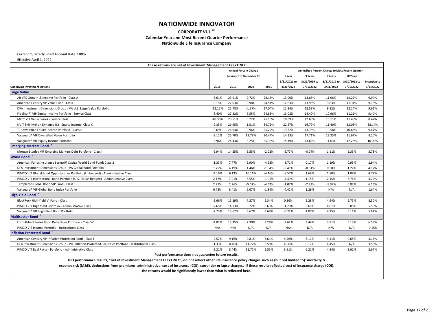**CORPORATE VUL sm**

#### **Calendar Year and Most Recent Quarter Performance**

**Nationwide Life Insurance Company**

Current Quarterly Fixed Account Rate 2.80%

Effective April 1, 2022

| These returns are net of Investment Management Fees ONLY                                             |                              |        |          |          |              |                                                  |              |              |              |
|------------------------------------------------------------------------------------------------------|------------------------------|--------|----------|----------|--------------|--------------------------------------------------|--------------|--------------|--------------|
|                                                                                                      | <b>Annual Percent Change</b> |        |          |          |              | Annualized Percent Change to Most Recent Quarter |              |              |              |
|                                                                                                      | January 1 to December 31     |        |          | 1 Year   | 3 Years      | 5 Years                                          | 10 Years     |              |              |
|                                                                                                      |                              |        |          |          | 3/31/2021 to | 3/29/2019 to                                     | 3/31/2017 to | 3/30/2012 to | Inception to |
| <b>Underlying Investment Options</b>                                                                 | 2018                         | 2019   | 2020     | 2021     | 3/31/2022    | 3/31/2022                                        | 3/31/2022    | 3/31/2022    | 3/31/2022    |
| <b>Large Value</b>                                                                                   |                              |        |          |          |              |                                                  |              |              |              |
| AB VPS Growth & Income Portfolio - Class A                                                           | $-5.61%$                     | 23.91% | 2.72%    | 28.16%   | 13.00%       | 13.66%                                           | 11.96%       | 12.22%       | 9.90%        |
| American Century VP Value Fund - Class I                                                             | $-9.15%$                     | 27.03% | 0.98%    | 24.51%   | 12.63%       | 13.93%                                           | 9.83%        | 11.31%       | 9.15%        |
| DFA Investment Dimensions Group - VA U.S. Large Value Portfolio                                      | $-12.12%$                    | 25.78% | $-1.37%$ | 27.04%   | 11.34%       | 12.53%                                           | 9.82%        | 12.14%       | 9.61%        |
| Fidelity(R) VIP Equity-Income Portfolio - Service Class                                              | $-8.40%$                     | 27.32% | 6.55%    | 24.83%   | 13.02%       | 14.40%                                           | 10.96%       | 11.21%       | 9.40%        |
| MFS <sup>®</sup> VIT Value Series - Service Class                                                    | $-10.36%$                    | 29.51% | 3.22%    | 25.16%   | 10.99%       | 12.65%                                           | 10.11%       | 11.40%       | 8.42%        |
| NVIT BNY Mellon Dynamic U.S. Equity Income: Class X                                                  | $-9.35%$                     | 26.95% | 1.51%    | 34.71%   | 22.57%       | 16.79%                                           | 11.40%       | 12.08%       | 38.14%       |
| T. Rowe Price Equity Income Portfolio - Class II                                                     | $-9.69%$                     | 26.04% | 0.96%    | 25.22%   | 13.32%       | 13.78%                                           | 10.58%       | 10.63%       | 9.47%        |
| Vanguard® VIF Diversified Value Portfolio                                                            | $-9.12%$                     | 25.70% | 11.78%   | 30.47%   | 14.13%       | 17.71%                                           | 12.25%       | 11.67%       | 8.20%        |
| Vanguard® VIF Equity Income Portfolio                                                                | $-5.96%$                     | 24.43% | 3.25%    | 25.33%   | 15.19%       | 13.63%                                           | 11.63%       | 12.28%       | 10.09%       |
| <b>Emerging Markets Bond</b> <sup>3</sup>                                                            |                              |        |          |          |              |                                                  |              |              |              |
| Morgan Stanley VIF Emerging Markets Debt Portfolio - Class I                                         | $-6.94%$                     | 14.25% | 5.55%    | $-2.02%$ | $-6.77%$     | $-0.04%$                                         | 1.11%        | 2.33%        | 5.78%        |
| World Bond <sup>7</sup>                                                                              |                              |        |          |          |              |                                                  |              |              |              |
| American Funds Insurance Series(R) Capital World Bond Fund: Class 2                                  | $-1.33%$                     | 7.77%  | 9.90%    | $-4.92%$ | $-8.71%$     | 0.17%                                            | 1.19%        | 0.93%        | 2.94%        |
| DFA Investment Dimensions Group - VA Global Bond Portfolio <sup>11</sup>                             | 1.75%                        | 4.19%  | 1.46%    | $-1.04%$ | $-5.41%$     | $-0.61%$                                         | 0.58%        | 1.27%        | 4.17%        |
| PIMCO VIT Global Bond Opportunities Portfolio (Unhedged) - Administrative Class                      | $-4.19%$                     | 6.13%  | 10.11%   | $-4.16%$ | $-5.57%$     | 1.69%                                            | 1.80%        | 1.08%        | 4.72%        |
| PIMCO VIT International Bond Portfolio (U.S. Dollar-Hedged) - Administrative Class                   | 2.12%                        | 7.01%  | 5.55%    | $-1.95%$ | $-4.49%$     | 1.15%                                            | 2.15%        | 3.76%        | 4.72%        |
| Templeton Global Bond VIP Fund - Class 1 <sup>11</sup>                                               | 2.21%                        | 2.26%  | $-5.07%$ | $-4.62%$ | $-1.07%$     | $-2.93%$                                         | $-1.37%$     | 0.82%        | 6.15%        |
| Vanguard® VIF Global Bond Index Portfolio                                                            | 0.78%                        | 8.41%  | 6.67%    | $-1.84%$ | $-4.42%$     | 1.29%                                            | N/A          | N/A          | 1.64%        |
| High Yield Bond <sup>2</sup>                                                                         |                              |        |          |          |              |                                                  |              |              |              |
| BlackRock High Yield VI Fund - Class I                                                               | $-2.66%$                     | 15.29% | 7.27%    | 5.34%    | 0.16%        | 5.28%                                            | 4.94%        | 5.75%        | 8.50%        |
| PIMCO VIT High Yield Portfolio - Administrative Class                                                | $-2.65%$                     | 14.73% | 5.72%    | 3.65%    | $-1.20%$     | 3.65%                                            | 4.01%        | 5.05%        | 5.55%        |
| Vanguard® VIF High Yield Bond Portfolio                                                              | $-2.73%$                     | 15.67% | 5.67%    | 3.68%    | $-0.72%$     | 4.07%                                            | 4.25%        | 5.11%        | 5.82%        |
| Multisector Bond <sup>1</sup>                                                                        |                              |        |          |          |              |                                                  |              |              |              |
| Lord Abbett Series Bond Debenture Portfolio - Class VC                                               | $-4.02%$                     | 13.35% | 7.30%    | 3.28%    | $-3.62%$     | 3.44%                                            | 3.81%        | 5.15%        | 6.59%        |
| PIMCO VIT Income Portfolio - Institutional Class                                                     | N/A                          | N/A    | N/A      | N/A      | N/A          | N/A                                              | N/A          | N/A          | $-0.45%$     |
| Inflation-Protected Bond <sup>1</sup>                                                                |                              |        |          |          |              |                                                  |              |              |              |
| American Century VP Inflation Protection Fund - Class I                                              | $-2.57%$                     | 9.16%  | 9.81%    | 6.61%    | 4.76%        | 6.11%                                            | 4.41%        | 2.65%        | 4.13%        |
| DFA Investment Dimensions Group - VIT Inflation-Protected Securities Portfolio - Institutional Class | $-1.33%$                     | 8.46%  | 11.72%   | 5.58%    | 4.06%        | 6.12%                                            | 4.45%        | N/A          | 3.58%        |
| PIMCO VIT Real Return Portfolio - Administrative Class                                               | $-2.21%$                     | 8.44%  | 11.72%   | 5.55%    | 3.91%        | 6.21%                                            | 4.34%        | 2.61%        | 5.67%        |

**Past performance does not guarantee future results.**

**UIO performance results, "net of Investment Management Fees ONLY", do not reflect other life insurance policy charges such as (but not limited to): mortality &**

**expense risk (M&E), deductions from premiums, administrative, cost of insurance (COI), surrender or lapse charges. If these results reflected cost of insurance charge (COI),**

| st Recent Quarter |              |
|-------------------|--------------|
| 10 Years          |              |
| 3/30/2012 to      | Inception to |
| 3/31/2022         | 3/31/2022    |
|                   |              |
| 12.22%            | 9.90%        |
| 11.31%            | 9.15%        |
| 12.14%            | 9.61%        |
| 11.21%            | 9.40%        |
| 11.40%            | 8.42%        |
| 12.08%            | 38.14%       |
| 10.63%            | 9.47%        |
| 11.67%            | 8.20%        |
| 12.28%            | 10.09%       |
|                   |              |
| 2.33%             | 5.78%        |
|                   |              |
| 0.93%             | 2.94%        |
| 1.27%             | 4.17%        |
| 1.08%             | 4.72%        |
| 3.76%             | 4.72%        |
| 0.82%             | 6.15%        |
| N/A               | 1.64%        |
|                   |              |
| 5.75%             | 8.50%        |
| 5.05%             | 5.55%        |
| 5.11%             | 5.82%        |
|                   |              |
| 5.15%             | 6.59%        |
| N/A               | $-0.45%$     |
|                   |              |
| 2.65%             | 4.13%        |
| N/A               | 3.58%        |
| 2.61%             | 5.67%        |
|                   |              |
|                   |              |
|                   |              |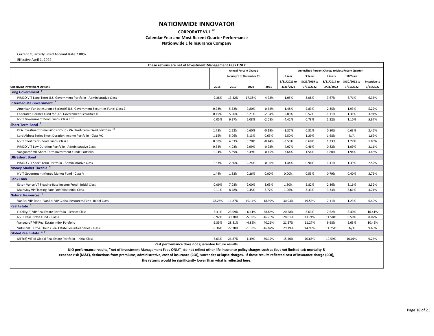**CORPORATE VUL sm**

#### **Calendar Year and Most Recent Quarter Performance**

**Nationwide Life Insurance Company**

Current Quarterly Fixed Account Rate 2.80%

Effective April 1, 2022

|                                                                               | These returns are net of Investment Management Fees ONLY |        |                          |          |              |                                                  |              |              |              |
|-------------------------------------------------------------------------------|----------------------------------------------------------|--------|--------------------------|----------|--------------|--------------------------------------------------|--------------|--------------|--------------|
|                                                                               | <b>Annual Percent Change</b>                             |        |                          |          |              | Annualized Percent Change to Most Recent Quarter |              |              |              |
|                                                                               |                                                          |        | January 1 to December 31 |          | 1 Year       | 3 Years                                          | 5 Years      | 10 Years     |              |
|                                                                               |                                                          |        |                          |          | 3/31/2021 to | 3/29/2019 to                                     | 3/31/2017 to | 3/30/2012 to | Inception to |
| <b>Underlying Investment Options</b>                                          | 2018                                                     | 2019   | 2020                     | 2021     | 3/31/2022    | 3/31/2022                                        | 3/31/2022    | 3/31/2022    | 3/31/2022    |
| <b>Long Government</b>                                                        |                                                          |        |                          |          |              |                                                  |              |              |              |
| PIMCO VIT Long-Term U.S. Government Portfolio - Administrative Class          | $-2.38%$                                                 | 13.32% | 17.38%                   | $-4.78%$ | $-1.05%$     | 3.08%                                            | 3.67%        | 3.71%        | 6.35%        |
| <b>Intermediate Government 8</b>                                              |                                                          |        |                          |          |              |                                                  |              |              |              |
| American Funds Insurance Series(R) U.S. Government Securities Fund: Class 2   | 0.73%                                                    | 5.32%  | 9.80%                    | $-0.62%$ | $-1.48%$     | 2.83%                                            | 2.35%        | 1.93%        | 5.22%        |
| Federated Hermes Fund for U.S. Government Securities II                       | 0.45%                                                    | 5.90%  | 5.21%                    | $-2.04%$ | -5.03%       | 0.57%                                            | 1.11%        | 1.31%        | 3.91%        |
| NVIT Government Bond Fund - Class I 11                                        | $-0.05%$                                                 | 6.27%  | 6.08%                    | $-2.08%$ | $-4.42%$     | 0.78%                                            | 1.22%        | 1.10%        | 5.87%        |
| Short-Term Bond <sup>1</sup>                                                  |                                                          |        |                          |          |              |                                                  |              |              |              |
| DFA Investment Dimensions Group - VA Short-Term Fixed Portfolio <sup>11</sup> | 1.78%                                                    | 2.52%  | 0.60%                    | $-0.19%$ | $-1.37%$     | 0.31%                                            | 0.80%        | 0.63%        | 2.46%        |
| Lord Abbett Series Short Duration Income Portfolio - Class VC                 | 1.15%                                                    | 5.06%  | 3.13%                    | 0.63%    | $-2.50%$     | 1.29%                                            | 1.68%        | N/A          | 1.69%        |
| NVIT Short Term Bond Fund - Class I                                           | 0.98%                                                    | 4.33%  | 3.20%                    | $-0.44%$ | $-3.55%$     | 0.68%                                            | 1.23%        | 1.27%        | 1.80%        |
| PIMCO VIT Low Duration Portfolio - Administrative Class                       | 0.34%                                                    | 4.03%  | 2.99%                    | $-0.93%$ | $-4.07%$     | 0.46%                                            | 0.82%        | 1.09%        | 3.11%        |
| Vanguard® VIF Short-Term Investment-Grade Portfolio                           | 1.04%                                                    | 5.69%  | 5.49%                    | $-0.45%$ | $-3.64%$     | 1.54%                                            | 1.80%        | 1.94%        | 3.48%        |
| <b>Ultrashort Bond</b>                                                        |                                                          |        |                          |          |              |                                                  |              |              |              |
| PIMCO VIT Short-Term Portfolio - Administrative Class                         | 1.53%                                                    | 2.80%  | 2.24%                    | $-0.06%$ | $-1.44%$     | 0.94%                                            | 1.41%        | 1.39%        | 2.52%        |
| Money Market Taxable <sup>6</sup>                                             |                                                          |        |                          |          |              |                                                  |              |              |              |
| NVIT Government Money Market Fund - Class V                                   | 1.44%                                                    | 1.83%  | 0.26%                    | 0.00%    | 0.00%        | 0.53%                                            | 0.79%        | 0.40%        | 3.76%        |
| <b>Bank Loan</b>                                                              |                                                          |        |                          |          |              |                                                  |              |              |              |
| Eaton Vance VT Floating-Rate Income Fund - Initial Class                      | $-0.09%$                                                 | 7.08%  | 2.00%                    | 3.63%    | 1.80%        | 2.82%                                            | 2.86%        | 3.16%        | 3.32%        |
| MainStay VP Floating Rate Portfolio: Initial Class                            | $-0.11%$                                                 | 8.48%  | 2.45%                    | 3.72%    | 1.96%        | 3.33%                                            | 3.33%        | 3.61%        | 3.71%        |
| Natural Resources <sup>4</sup>                                                |                                                          |        |                          |          |              |                                                  |              |              |              |
| VanEck VIP Trust - VanEck VIP Global Resources Fund: Initial Class            | $-28.28%$                                                | 11.87% | 19.11%                   | 18.92%   | 30.94%       | 19.53%                                           | 7.11%        | 1.23%        | 6.49%        |
| Real Estate <sup>9</sup>                                                      |                                                          |        |                          |          |              |                                                  |              |              |              |
| Fidelity(R) VIP Real Estate Portfolio - Service Class                         | $-6.31%$                                                 | 23.09% | $-6.61%$                 | 38.86%   | 20.28%       | 8.63%                                            | 7.62%        | 8.40%        | 10.41%       |
| <b>NVIT Real Estate Fund - Class I</b>                                        | $-3.92%$                                                 | 30.70% | $-5.39%$                 | 46.75%   | 28.81%       | 13.74%                                           | 11.58%       | 9.50%        | 8.02%        |
| Vanguard® VIF Real Estate Index Portfolio                                     | $-5.35%$                                                 | 28.81% | $-4.85%$                 | 40.21%   | 21.27%       | 11.27%                                           | 9.68%        | 9.63%        | 10.45%       |
| Virtus VIF Duff & Phelps Real Estate Securities Series - Class I              | $-6.36%$                                                 | 27.78% | $-1.33%$                 | 46.87%   | 29.19%       | 14.99%                                           | 11.75%       | N/A          | 9.65%        |
| Global Real Estate <sup>7,9</sup>                                             |                                                          |        |                          |          |              |                                                  |              |              |              |
| MFS(R) VIT III Global Real Estate Portfolio - Initial Class                   | $-3.03%$                                                 | 26.87% | 1.49%                    | 30.12%   | 15.40%       | 10.65%                                           | 10.59%       | 10.01%       | 9.26%        |
|                                                                               | Past nerformance does not guarantee future results.      |        |                          |          |              |                                                  |              |              |              |

**Past performance does not guarantee future results.**

**UIO performance results, "net of Investment Management Fees ONLY", do not reflect other life insurance policy charges such as (but not limited to): mortality & expense risk (M&E), deductions from premiums, administrative, cost of insurance (COI), surrender or lapse charges. If these results reflected cost of insurance charge (COI),**

| st Recent Quarter |              |
|-------------------|--------------|
| 10 Years          |              |
| 3/30/2012 to      | Inception to |
| 3/31/2022         | 3/31/2022    |
|                   |              |
| 3.71%             | 6.35%        |
|                   |              |
| 1.93%             | 5.22%        |
| 1.31%             | 3.91%        |
| 1.10%             | 5.87%        |
|                   |              |
| 0.63%             | 2.46%        |
| N/A               | 1.69%        |
| 1.27%             | 1.80%        |
| 1.09%             | 3.11%        |
| 1.94%             | 3.48%        |
|                   |              |
| 1.39%             | 2.52%        |
|                   |              |
| 0.40%             | 3.76%        |
|                   |              |
| 3.16%             | 3.32%        |
| 3.61%             | 3.71%        |
|                   |              |
| 1.23%             | 6.49%        |
|                   |              |
| 8.40%             | 10.41%       |
| 9.50%             | 8.02%        |
| 9.63%             | 10.45%       |
| N/A               | 9.65%        |
|                   |              |
| 10.01%            | 9.26%        |
|                   |              |
|                   |              |
|                   |              |
|                   |              |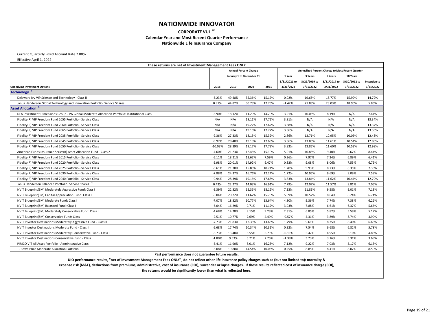**CORPORATE VUL sm**

#### **Calendar Year and Most Recent Quarter Performance**

**Nationwide Life Insurance Company**

Current Quarterly Fixed Account Rate 2.80%

Effective April 1, 2022

| These returns are net of Investment Management Fees ONLY                                       |                              |        |        |         |                                                  |              |              |              |              |  |  |
|------------------------------------------------------------------------------------------------|------------------------------|--------|--------|---------|--------------------------------------------------|--------------|--------------|--------------|--------------|--|--|
|                                                                                                | <b>Annual Percent Change</b> |        |        |         | Annualized Percent Change to Most Recent Quarter |              |              |              |              |  |  |
|                                                                                                | January 1 to December 31     |        | 1 Year | 3 Years | 5 Years                                          | 10 Years     |              |              |              |  |  |
|                                                                                                |                              |        |        |         | 3/31/2021 to                                     | 3/29/2019 to | 3/31/2017 to | 3/30/2012 to | Inception to |  |  |
| <b>Underlying Investment Options</b>                                                           | 2018                         | 2019   | 2020   | 2021    | 3/31/2022                                        | 3/31/2022    | 3/31/2022    | 3/31/2022    | 3/31/2022    |  |  |
| Technology <sup>4</sup>                                                                        |                              |        |        |         |                                                  |              |              |              |              |  |  |
| Delaware Ivy VIP Science and Technology - Class II                                             | $-5.23%$                     | 49.48% | 35.36% | 15.17%  | 0.02%                                            | 19.65%       | 18.77%       | 15.99%       | 14.79%       |  |  |
| Janus Henderson Global Technology and Innovation Portfolio: Service Shares                     | 0.91%                        | 44.82% | 50.73% | 17.75%  | $-1.42%$                                         | 21.83%       | 23.03%       | 18.90%       | 5.86%        |  |  |
| <b>Asset Allocation</b> <sup>5</sup>                                                           |                              |        |        |         |                                                  |              |              |              |              |  |  |
| DFA Investment Dimensions Group - VA Global Moderate Allocation Portfolio: Institutional Class | $-6.90%$                     | 18.12% | 11.29% | 14.20%  | 3.91%                                            | 10.05%       | 8.19%        | N/A          | 7.41%        |  |  |
| Fidelity(R) VIP Freedom Fund 2055 Portfolio - Service Class                                    | N/A                          | N/A    | 19.11% | 17.72%  | 3.91%                                            | N/A          | N/A          | N/A          | 13.34%       |  |  |
| Fidelity(R) VIP Freedom Fund 2060 Portfolio - Service Class                                    | N/A                          | N/A    | 19.22% | 17.62%  | 3.88%                                            | N/A          | N/A          | N/A          | 13.37%       |  |  |
| Fidelity(R) VIP Freedom Fund 2065 Portfolio - Service Class                                    | N/A                          | N/A    | 19.16% | 17.77%  | 3.86%                                            | N/A          | N/A          | N/A          | 13.33%       |  |  |
| Fidelity(R) VIP Freedom Fund 2035 Portfolio - Service Class                                    | $-9.36%$                     | 27.33% | 18.15% | 15.32%  | 2.86%                                            | 12.71%       | 10.95%       | 10.06%       | 12.43%       |  |  |
| Fidelity(R) VIP Freedom Fund 2045 Portfolio - Service Class                                    | $-9.97%$                     | 28.40% | 19.18% | 17.69%  | 3.86%                                            | 13.85%       | 11.61%       | 10.51%       | 12.88%       |  |  |
| Fidelity(R) VIP Freedom Fund 2050 Portfolio - Service Class                                    | $-10.03%$                    | 28.39% | 19.17% | 17.73%  | 3.83%                                            | 13.85%       | 11.60%       | 10.53%       | 12.98%       |  |  |
| American Funds Insurance Series(R) Asset Allocation Fund - Class 2                             | $-4.60%$                     | 21.23% | 12.46% | 15.10%  | 5.01%                                            | 10.86%       | 9.40%        | 9.67%        | 8.44%        |  |  |
| Fidelity(R) VIP Freedom Fund 2015 Portfolio - Service Class                                    | $-5.11%$                     | 18.21% | 13.62% | 7.59%   | 0.26%                                            | 7.97%        | 7.24%        | 6.89%        | 6.41%        |  |  |
| Fidelity(R) VIP Freedom Fund 2020 Portfolio - Service Class                                    | $-5.98%$                     | 20.01% | 14.92% | 9.47%   | 0.83%                                            | 9.08%        | 8.06%        | 7.55%        | 6.75%        |  |  |
| Fidelity(R) VIP Freedom Fund 2025 Portfolio - Service Class                                    | $-6.61%$                     | 21.70% | 15.83% | 10.71%  | 1.20%                                            | 9.93%        | 8.73%        | 8.35%        | 7.30%        |  |  |
| Fidelity(R) VIP Freedom Fund 2030 Portfolio - Service Class                                    | $-7.88%$                     | 24.37% | 16.76% | 12.24%  | 1.72%                                            | 10.95%       | 9.69%        | 9.09%        | 7.59%        |  |  |
| Fidelity(R) VIP Freedom Fund 2040 Portfolio - Service Class                                    | $-9.94%$                     | 28.39% | 19.16% | 17.68%  | 3.83%                                            | 13.84%       | 11.62%       | 10.44%       | 12.79%       |  |  |
| Janus Henderson Balanced Portfolio: Service Shares 10                                          | 0.43%                        | 22.27% | 14.03% | 16.91%  | 7.79%                                            | 12.07%       | 11.57%       | 9.81%        | 7.05%        |  |  |
| NVIT Blueprint(SM) Moderately Aggressive Fund: Class I                                         | $-9.39%$                     | 22.32% | 12.36% | 18.12%  | 7.13%                                            | 11.81%       | 9.58%        | 9.01%        | 7.13%        |  |  |
| NVIT Blueprint(SM) Capital Appreciation Fund: Class I                                          | $-8.04%$                     | 20.22% | 11.67% | 15.75%  | 5.69%                                            | 10.52%       | 8.64%        | 8.24%        | 6.74%        |  |  |
| NVIT Blueprint (SM) Moderate Fund: Class I                                                     | $-7.07%$                     | 18.32% | 10.77% | 13.64%  | 4.80%                                            | 9.36%        | 7.74%        | 7.38%        | 6.26%        |  |  |
| NVIT Blueprint(SM) Balanced Fund: Class I                                                      | $-6.04%$                     | 16.29% | 9.71%  | 11.12%  | 3.03%                                            | 7.88%        | 6.61%        | 6.37%        | 5.66%        |  |  |
| NVIT Blueprint(SM) Moderately Conservative Fund: Class I                                       | $-4.68%$                     | 14.28% | 9.15%  | 9.23%   | 2.31%                                            | 6.85%        | 5.82%        | 5.59%        | 5.17%        |  |  |
| NVIT Blueprint(SM) Conservative Fund: Class I                                                  | $-2.51%$                     | 10.77% | 7.69%  | 4.49%   | $-0.57%$                                         | 4.31%        | 3.89%        | 3.74%        | 3.90%        |  |  |
| NVIT Investor Destinations Moderately Aggressive Fund - Class II                               | $-7.73%$                     | 21.83% | 12.33% | 13.63%  | 1.79%                                            | 9.61%        | 8.35%        | 8.40%        | 6.66%        |  |  |
| <b>NVIT Investor Destinations Moderate Fund - Class II</b>                                     | $-5.68%$                     | 17.74% | 10.34% | 10.31%  | 0.92%                                            | 7.54%        | 6.68%        | 6.82%        | 5.78%        |  |  |
| NVIT Investor Destinations Moderately Conservative Fund - Class II                             | $-3.73%$                     | 13.48% | 8.55%  | 6.71%   | $-0.11%$                                         | 5.47%        | 4.95%        | 5.10%        | 4.86%        |  |  |
| NVIT Investor Destinations Conservative Fund - Class II                                        | $-1.80%$                     | 9.53%  | 6.71%  | 2.75%   | $-1.38%$                                         | 3.23%        | 3.16%        | 3.31%        | 3.69%        |  |  |
| PIMCO VIT All Asset Portfolio - Administrative Class                                           | $-5.41%$                     | 11.90% | 8.01%  | 16.23%  | 7.12%                                            | 9.22%        | 7.03%        | 5.17%        | 6.13%        |  |  |
| T. Rowe Price Moderate Allocation Portfolio                                                    | $-5.08%$                     | 19.80% | 14.54% | 10.06%  | 0.25%                                            | 8.85%        | 8.41%        | 8.07%        | 8.50%        |  |  |
| Past performance does not guarantee future results.                                            |                              |        |        |         |                                                  |              |              |              |              |  |  |

**UIO performance results, "net of Investment Management Fees ONLY", do not reflect other life insurance policy charges such as (but not limited to): mortality &**

**expense risk (M&E), deductions from premiums, administrative, cost of insurance (COI), surrender or lapse charges. If these results reflected cost of insurance charge (COI), the returns would be significantly lower than what is reflected here.**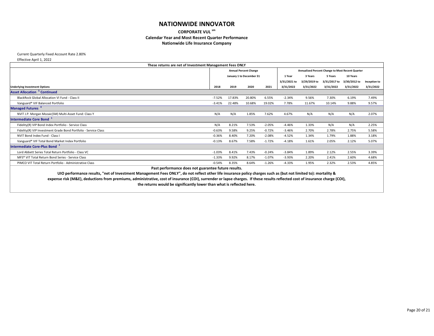#### **CORPORATE VUL sm Calendar Year and Most Recent Quarter Performance Nationwide Life Insurance Company**

Current Quarterly Fixed Account Rate 2.80%

Effective April 1, 2022

|                                                                 | These returns are net of Investment Management Fees ONLY |                          |                              |          |                                                  |              |              |                              |                               |  |
|-----------------------------------------------------------------|----------------------------------------------------------|--------------------------|------------------------------|----------|--------------------------------------------------|--------------|--------------|------------------------------|-------------------------------|--|
|                                                                 |                                                          |                          | <b>Annual Percent Change</b> |          | Annualized Percent Change to Most Recent Quarter |              |              |                              |                               |  |
|                                                                 |                                                          | January 1 to December 31 |                              |          | 1 Year                                           | 3 Years      | 5 Years      | 10 Years                     |                               |  |
|                                                                 |                                                          |                          |                              |          | 3/31/2021 to                                     | 3/29/2019 to | 3/31/2017 to | 3/30/2012 to                 | Inception to                  |  |
| <b>Underlying Investment Options</b>                            | 2018                                                     | 2019                     | 2020                         | 2021     | 3/31/2022                                        | 3/31/2022    | 3/31/2022    | 3/31/2022                    | 3/31/2022                     |  |
| <b>Asset Allocation<sup>5</sup> Continued</b>                   |                                                          |                          |                              |          |                                                  |              |              |                              |                               |  |
| BlackRock Global Allocation VI Fund - Class II                  | $-7.52%$                                                 | 17.83%                   | 20.80%                       | 6.55%    | $-2.34%$                                         | 9.56%        | 7.30%        | 6.19%                        | 7.49%                         |  |
| Vanguard® VIF Balanced Portfolio                                | $-3.41%$                                                 | 22.48%                   | 10.68%                       | 19.02%   | 7.78%                                            | 11.67%       | 10.14%       | 9.88%                        | 9.57%                         |  |
| Managed Futures <sup>4</sup>                                    |                                                          |                          |                              |          |                                                  |              |              |                              |                               |  |
| NVIT J.P. Morgan Mozaic(SM) Multi-Asset Fund: Class Y           | N/A                                                      | N/A                      | 1.85%                        | 7.62%    | 4.67%                                            | N/A          | N/A          | N/A                          | 2.07%                         |  |
| <b>Intermediate Core Bond</b>                                   |                                                          |                          |                              |          |                                                  |              |              |                              |                               |  |
| Fidelity(R) VIP Bond Index Portfolio - Service Class            | N/A                                                      | 8.21%                    | 7.53%                        | $-2.05%$ | $-4.46%$                                         | 1.33%        | N/A          | N/A<br>--------------------- | 2.25%<br>-------------------- |  |
| Fidelity(R) VIP Investment Grade Bond Portfolio - Service Class | $-0.63%$                                                 | 9.58%                    | 9.25%                        | $-0.72%$ | $-3.46%$                                         | 2.70%        | 2.78%        | 2.75%                        | 5.58%                         |  |
| NVIT Bond Index Fund - Class I                                  | $-0.36%$                                                 | 8.40%                    | 7.20%                        | $-2.08%$ | $-4.52%$                                         | 1.34%        | 1.79%        | 1.88%                        | 3.18%                         |  |
| Vanguard® VIF Total Bond Market Index Portfolio                 | $-0.13%$                                                 | 8.67%                    | 7.58%                        | $-1.72%$ | $-4.18%$                                         | 1.61%        | 2.05%        | 2.12%                        | 5.07%                         |  |
| Intermediate Core-Plus Bond <sup>1</sup>                        |                                                          |                          |                              |          |                                                  |              |              |                              |                               |  |
| Lord Abbett Series Total Return Portfolio - Class VC            | $-1.03%$                                                 | 8.41%                    | 7.43%                        | $-0.24%$ | $-3.84%$                                         | 1.89%        | 2.12%        | 2.55%                        | 3.39%                         |  |
| MFS <sup>®</sup> VIT Total Return Bond Series - Service Class   | $-1.33%$                                                 | 9.92%                    | 8.17%                        | $-1.07%$ | $-3.93%$                                         | 2.20%        | 2.41%        | 2.60%                        | 4.68%                         |  |
| PIMCO VIT Total Return Portfolio - Administrative Class         | $-0.54%$                                                 | 8.35%                    | 8.64%                        | $-1.26%$ | $-4.33%$                                         | 1.95%        | 2.32%        | 2.53%                        | 4.85%                         |  |
|                                                                 | Past performance does not guarantee future results.      |                          |                              |          |                                                  |              |              |                              |                               |  |

**UIO performance results, "net of Investment Management Fees ONLY", do not reflect other life insurance policy charges such as (but not limited to): mortality & expense risk (M&E), deductions from premiums, administrative, cost of insurance (COI), surrender or lapse charges. If these results reflected cost of insurance charge (COI), the returns would be significantly lower than what is reflected here.**

| <b>st Recent Quarter</b> |              |
|--------------------------|--------------|
| 10 Years                 |              |
| 3/30/2012 to             | Inception to |
| 3/31/2022                | 3/31/2022    |
|                          |              |
| 6.19%                    | 7.49%        |
| 9.88%                    | 9.57%        |
|                          |              |
| N/A                      | 2.07%        |
|                          |              |
| N/A                      | 2.25%        |
| 2.75%                    | 5.58%        |
| 1.88%                    | 3.18%        |
| 2.12%                    | 5.07%        |
|                          |              |
| 2.55%                    | 3.39%        |
| 2.60%                    | 4.68%        |
| 2.53%                    | 4.85%        |
|                          |              |
|                          |              |